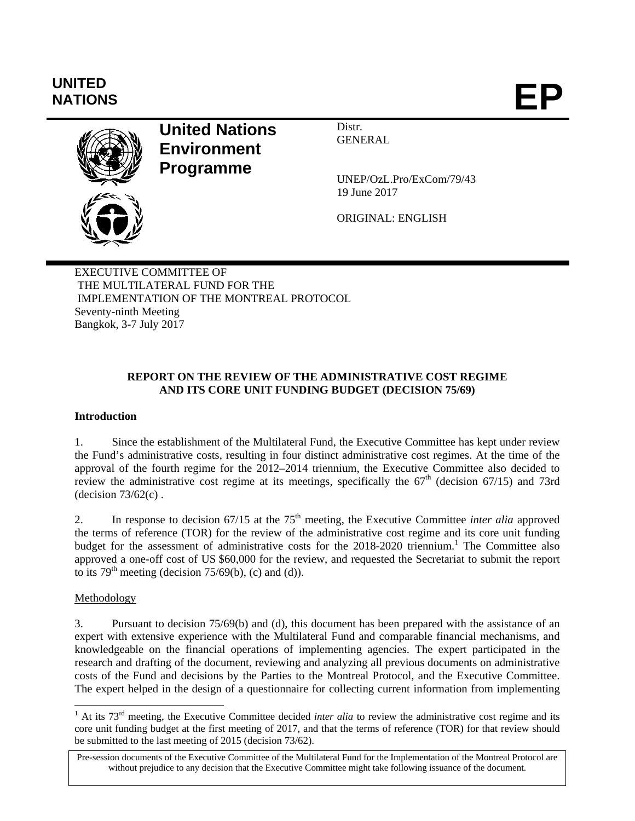# **UNITED**  UNITED<br>NATIONS **EP**



**United Nations Environment Programme** 

Distr. GENERAL

UNEP/OzL.Pro/ExCom/79/43 19 June 2017

ORIGINAL: ENGLISH

EXECUTIVE COMMITTEE OF THE MULTILATERAL FUND FOR THE IMPLEMENTATION OF THE MONTREAL PROTOCOL Seventy-ninth Meeting Bangkok, 3-7 July 2017

## **REPORT ON THE REVIEW OF THE ADMINISTRATIVE COST REGIME AND ITS CORE UNIT FUNDING BUDGET (DECISION 75/69)**

## **Introduction**

1. Since the establishment of the Multilateral Fund, the Executive Committee has kept under review the Fund's administrative costs, resulting in four distinct administrative cost regimes. At the time of the approval of the fourth regime for the 2012–2014 triennium, the Executive Committee also decided to review the administrative cost regime at its meetings, specifically the  $67<sup>th</sup>$  (decision 67/15) and 73rd (decision  $73/62(c)$ .

2. In response to decision 67/15 at the 75<sup>th</sup> meeting, the Executive Committee *inter alia* approved the terms of reference (TOR) for the review of the administrative cost regime and its core unit funding budget for the assessment of administrative costs for the 2018-2020 triennium.<sup>1</sup> The Committee also approved a one-off cost of US \$60,000 for the review, and requested the Secretariat to submit the report to its  $79<sup>th</sup>$  meeting (decision  $75/69(b)$ , (c) and (d)).

## Methodology

3. Pursuant to decision 75/69(b) and (d), this document has been prepared with the assistance of an expert with extensive experience with the Multilateral Fund and comparable financial mechanisms, and knowledgeable on the financial operations of implementing agencies. The expert participated in the research and drafting of the document, reviewing and analyzing all previous documents on administrative costs of the Fund and decisions by the Parties to the Montreal Protocol, and the Executive Committee. The expert helped in the design of a questionnaire for collecting current information from implementing

<sup>&</sup>lt;sup>1</sup> At its 73<sup>rd</sup> meeting, the Executive Committee decided *inter alia* to review the administrative cost regime and its core unit funding budget at the first meeting of 2017, and that the terms of reference (TOR) for that review should be submitted to the last meeting of 2015 (decision 73/62).

Pre-session documents of the Executive Committee of the Multilateral Fund for the Implementation of the Montreal Protocol are without prejudice to any decision that the Executive Committee might take following issuance of the document.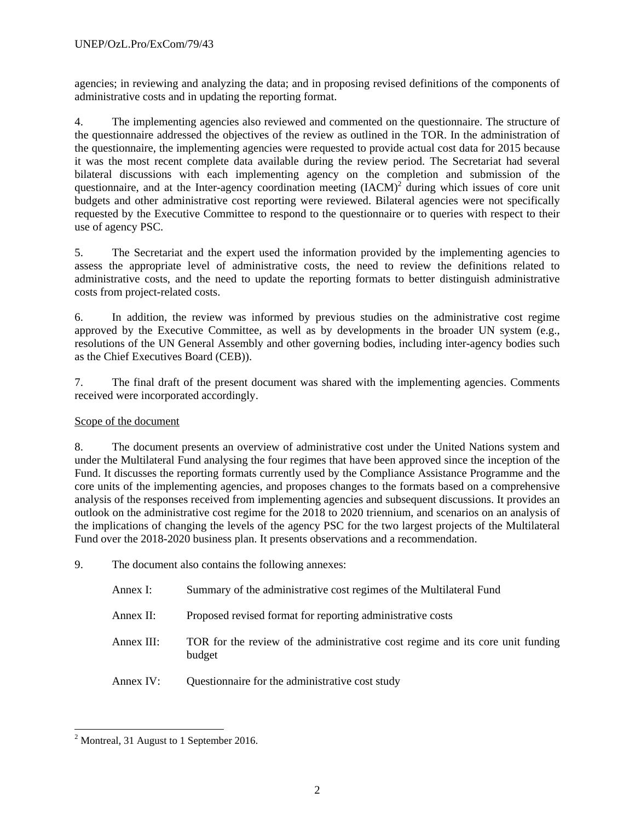agencies; in reviewing and analyzing the data; and in proposing revised definitions of the components of administrative costs and in updating the reporting format.

4. The implementing agencies also reviewed and commented on the questionnaire. The structure of the questionnaire addressed the objectives of the review as outlined in the TOR. In the administration of the questionnaire, the implementing agencies were requested to provide actual cost data for 2015 because it was the most recent complete data available during the review period. The Secretariat had several bilateral discussions with each implementing agency on the completion and submission of the questionnaire, and at the Inter-agency coordination meeting  $(IACM)^2$  during which issues of core unit budgets and other administrative cost reporting were reviewed. Bilateral agencies were not specifically requested by the Executive Committee to respond to the questionnaire or to queries with respect to their use of agency PSC.

5. The Secretariat and the expert used the information provided by the implementing agencies to assess the appropriate level of administrative costs, the need to review the definitions related to administrative costs, and the need to update the reporting formats to better distinguish administrative costs from project-related costs.

6. In addition, the review was informed by previous studies on the administrative cost regime approved by the Executive Committee, as well as by developments in the broader UN system (e.g., resolutions of the UN General Assembly and other governing bodies, including inter-agency bodies such as the Chief Executives Board (CEB)).

7. The final draft of the present document was shared with the implementing agencies. Comments received were incorporated accordingly.

## Scope of the document

8. The document presents an overview of administrative cost under the United Nations system and under the Multilateral Fund analysing the four regimes that have been approved since the inception of the Fund. It discusses the reporting formats currently used by the Compliance Assistance Programme and the core units of the implementing agencies, and proposes changes to the formats based on a comprehensive analysis of the responses received from implementing agencies and subsequent discussions. It provides an outlook on the administrative cost regime for the 2018 to 2020 triennium, and scenarios on an analysis of the implications of changing the levels of the agency PSC for the two largest projects of the Multilateral Fund over the 2018-2020 business plan. It presents observations and a recommendation.

9. The document also contains the following annexes:

| Annex I:   | Summary of the administrative cost regimes of the Multilateral Fund                      |
|------------|------------------------------------------------------------------------------------------|
| Annex II:  | Proposed revised format for reporting administrative costs                               |
| Annex III: | TOR for the review of the administrative cost regime and its core unit funding<br>budget |
| Annex IV:  | Questionnaire for the administrative cost study                                          |

l <sup>2</sup> Montreal, 31 August to 1 September 2016.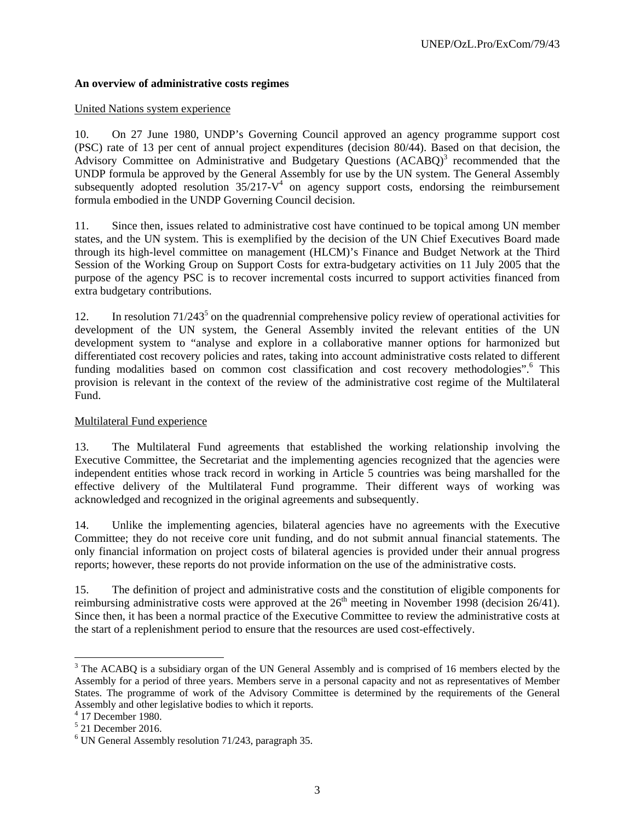## **An overview of administrative costs regimes**

## United Nations system experience

10. On 27 June 1980, UNDP's Governing Council approved an agency programme support cost (PSC) rate of 13 per cent of annual project expenditures (decision 80/44). Based on that decision, the Advisory Committee on Administrative and Budgetary Questions (ACABQ)<sup>3</sup> recommended that the UNDP formula be approved by the General Assembly for use by the UN system. The General Assembly subsequently adopted resolution  $35/217$ -V<sup>4</sup> on agency support costs, endorsing the reimbursement formula embodied in the UNDP Governing Council decision.

11. Since then, issues related to administrative cost have continued to be topical among UN member states, and the UN system. This is exemplified by the decision of the UN Chief Executives Board made through its high-level committee on management (HLCM)'s Finance and Budget Network at the Third Session of the Working Group on Support Costs for extra-budgetary activities on 11 July 2005 that the purpose of the agency PSC is to recover incremental costs incurred to support activities financed from extra budgetary contributions.

12. In resolution  $71/243<sup>5</sup>$  on the quadrennial comprehensive policy review of operational activities for development of the UN system, the General Assembly invited the relevant entities of the UN development system to "analyse and explore in a collaborative manner options for harmonized but differentiated cost recovery policies and rates, taking into account administrative costs related to different funding modalities based on common cost classification and cost recovery methodologies".<sup>6</sup> This provision is relevant in the context of the review of the administrative cost regime of the Multilateral Fund.

## Multilateral Fund experience

13. The Multilateral Fund agreements that established the working relationship involving the Executive Committee, the Secretariat and the implementing agencies recognized that the agencies were independent entities whose track record in working in Article 5 countries was being marshalled for the effective delivery of the Multilateral Fund programme. Their different ways of working was acknowledged and recognized in the original agreements and subsequently.

14. Unlike the implementing agencies, bilateral agencies have no agreements with the Executive Committee; they do not receive core unit funding, and do not submit annual financial statements. The only financial information on project costs of bilateral agencies is provided under their annual progress reports; however, these reports do not provide information on the use of the administrative costs.

15. The definition of project and administrative costs and the constitution of eligible components for reimbursing administrative costs were approved at the  $26<sup>th</sup>$  meeting in November 1998 (decision 26/41). Since then, it has been a normal practice of the Executive Committee to review the administrative costs at the start of a replenishment period to ensure that the resources are used cost-effectively.

 $3$  The ACABQ is a subsidiary organ of the UN General Assembly and is comprised of 16 members elected by the Assembly for a period of three years. Members serve in a personal capacity and not as representatives of Member States. The programme of work of the Advisory Committee is determined by the requirements of the General Assembly and other legislative bodies to which it reports.

<sup>4</sup> 17 December 1980.

<sup>5</sup> 21 December 2016.

<sup>&</sup>lt;sup>6</sup> UN General Assembly resolution 71/243, paragraph 35.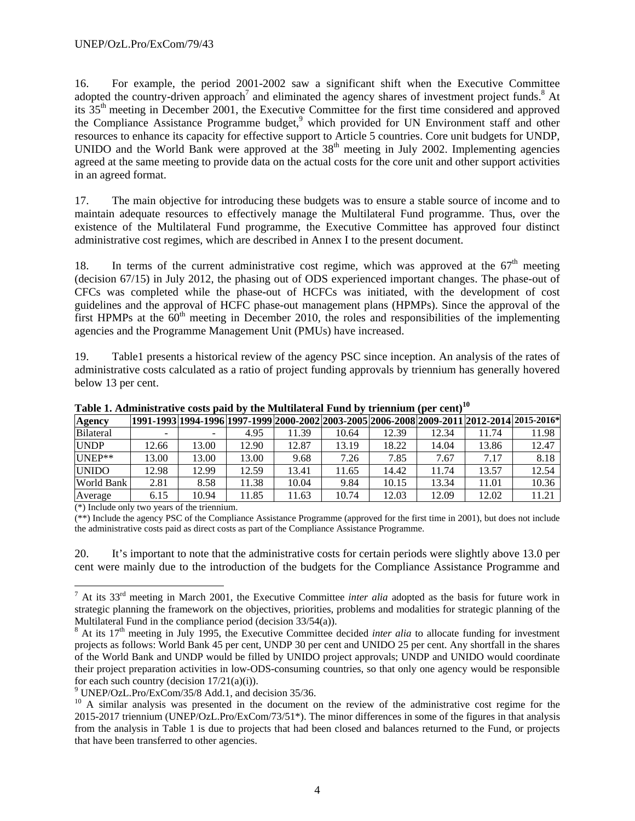16. For example, the period 2001-2002 saw a significant shift when the Executive Committee adopted the country-driven approach<sup>7</sup> and eliminated the agency shares of investment project funds.<sup>8</sup> At its 35th meeting in December 2001, the Executive Committee for the first time considered and approved the Compliance Assistance Programme budget,<sup>9</sup> which provided for UN Environment staff and other resources to enhance its capacity for effective support to Article 5 countries. Core unit budgets for UNDP, UNIDO and the World Bank were approved at the  $38<sup>th</sup>$  meeting in July 2002. Implementing agencies agreed at the same meeting to provide data on the actual costs for the core unit and other support activities in an agreed format.

17. The main objective for introducing these budgets was to ensure a stable source of income and to maintain adequate resources to effectively manage the Multilateral Fund programme. Thus, over the existence of the Multilateral Fund programme, the Executive Committee has approved four distinct administrative cost regimes, which are described in Annex I to the present document.

18. In terms of the current administrative cost regime, which was approved at the  $67<sup>th</sup>$  meeting (decision 67/15) in July 2012, the phasing out of ODS experienced important changes. The phase-out of CFCs was completed while the phase-out of HCFCs was initiated, with the development of cost guidelines and the approval of HCFC phase-out management plans (HPMPs). Since the approval of the first HPMPs at the  $60<sup>th</sup>$  meeting in December 2010, the roles and responsibilities of the implementing agencies and the Programme Management Unit (PMUs) have increased.

19. Table1 presents a historical review of the agency PSC since inception. An analysis of the rates of administrative costs calculated as a ratio of project funding approvals by triennium has generally hovered below 13 per cent.

| Agency            |       |       |       |       |       |       |       |       | 1991-1993 1994-1996 1997-1999 2000-2002 2003-2005 2006-2008 2009-2011 2012-2014  2015-2016* |
|-------------------|-------|-------|-------|-------|-------|-------|-------|-------|---------------------------------------------------------------------------------------------|
| Bilateral         |       |       | 4.95  | 11.39 | 10.64 | 12.39 | 12.34 | 11.74 | 11.98                                                                                       |
| <b>UNDP</b>       | 12.66 | 13.00 | 12.90 | 12.87 | 13.19 | 18.22 | 14.04 | 13.86 | 12.47                                                                                       |
| $UNEP**$          | 13.00 | 13.00 | 13.00 | 9.68  | 7.26  | 7.85  | 7.67  | 7.17  | 8.18                                                                                        |
| <b>UNIDO</b>      | 12.98 | 12.99 | 12.59 | 13.41 | 1.65  | 14.42 | 11.74 | 13.57 | 12.54                                                                                       |
| <b>World Bank</b> | 2.81  | 8.58  | 11.38 | 10.04 | 9.84  | 10.15 | 13.34 | 11.01 | 10.36                                                                                       |
| Average           | 6.15  | 10.94 | 11.85 | 11.63 | 10.74 | 12.03 | 12.09 | 12.02 | 11.21                                                                                       |

Table 1. Administrative costs paid by the Multilateral Fund by triennium (per cent)<sup>10</sup>

 $(*)$  Include only two years of the triennium.

(\*\*) Include the agency PSC of the Compliance Assistance Programme (approved for the first time in 2001), but does not include the administrative costs paid as direct costs as part of the Compliance Assistance Programme.

20. It's important to note that the administrative costs for certain periods were slightly above 13.0 per cent were mainly due to the introduction of the budgets for the Compliance Assistance Programme and

<sup>&</sup>lt;sup>7</sup> At its 33<sup>rd</sup> meeting in March 2001, the Executive Committee *inter alia* adopted as the basis for future work in strategic planning the framework on the objectives, priorities, problems and modalities for strategic planning of the Multilateral Fund in the compliance period (decision 33/54(a)).

 $8$  At its 17<sup>th</sup> meeting in July 1995, the Executive Committee decided *inter alia* to allocate funding for investment projects as follows: World Bank 45 per cent, UNDP 30 per cent and UNIDO 25 per cent. Any shortfall in the shares of the World Bank and UNDP would be filled by UNIDO project approvals; UNDP and UNIDO would coordinate their project preparation activities in low-ODS-consuming countries, so that only one agency would be responsible for each such country (decision  $17/21(a)(i)$ ).

<sup>&</sup>lt;sup>9</sup> UNEP/OzL.Pro/ExCom/35/8 Add.1, and decision 35/36.

<sup>&</sup>lt;sup>10</sup> A similar analysis was presented in the document on the review of the administrative cost regime for the 2015-2017 triennium (UNEP/OzL.Pro/ExCom/73/51\*). The minor differences in some of the figures in that analysis from the analysis in Table 1 is due to projects that had been closed and balances returned to the Fund, or projects that have been transferred to other agencies.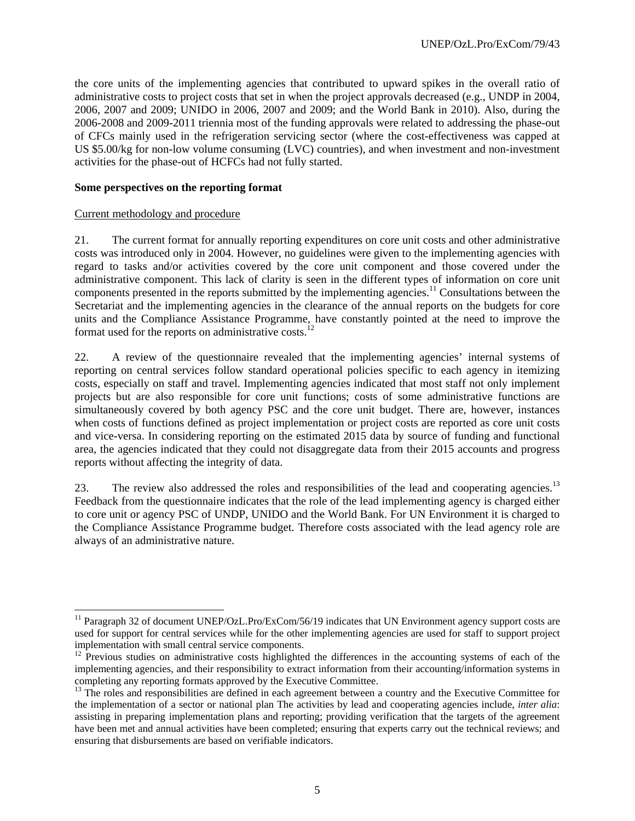the core units of the implementing agencies that contributed to upward spikes in the overall ratio of administrative costs to project costs that set in when the project approvals decreased (e.g., UNDP in 2004, 2006, 2007 and 2009; UNIDO in 2006, 2007 and 2009; and the World Bank in 2010). Also, during the 2006-2008 and 2009-2011 triennia most of the funding approvals were related to addressing the phase-out of CFCs mainly used in the refrigeration servicing sector (where the cost-effectiveness was capped at US \$5.00/kg for non-low volume consuming (LVC) countries), and when investment and non-investment activities for the phase-out of HCFCs had not fully started.

## **Some perspectives on the reporting format**

#### Current methodology and procedure

l

21. The current format for annually reporting expenditures on core unit costs and other administrative costs was introduced only in 2004. However, no guidelines were given to the implementing agencies with regard to tasks and/or activities covered by the core unit component and those covered under the administrative component. This lack of clarity is seen in the different types of information on core unit components presented in the reports submitted by the implementing agencies.<sup>11</sup> Consultations between the Secretariat and the implementing agencies in the clearance of the annual reports on the budgets for core units and the Compliance Assistance Programme, have constantly pointed at the need to improve the format used for the reports on administrative costs.<sup>12</sup>

22. A review of the questionnaire revealed that the implementing agencies' internal systems of reporting on central services follow standard operational policies specific to each agency in itemizing costs, especially on staff and travel. Implementing agencies indicated that most staff not only implement projects but are also responsible for core unit functions; costs of some administrative functions are simultaneously covered by both agency PSC and the core unit budget. There are, however, instances when costs of functions defined as project implementation or project costs are reported as core unit costs and vice-versa. In considering reporting on the estimated 2015 data by source of funding and functional area, the agencies indicated that they could not disaggregate data from their 2015 accounts and progress reports without affecting the integrity of data.

23. The review also addressed the roles and responsibilities of the lead and cooperating agencies.<sup>13</sup> Feedback from the questionnaire indicates that the role of the lead implementing agency is charged either to core unit or agency PSC of UNDP, UNIDO and the World Bank. For UN Environment it is charged to the Compliance Assistance Programme budget. Therefore costs associated with the lead agency role are always of an administrative nature.

<sup>&</sup>lt;sup>11</sup> Paragraph 32 of document UNEP/OzL.Pro/ExCom/56/19 indicates that UN Environment agency support costs are used for support for central services while for the other implementing agencies are used for staff to support project implementation with small central service components.

 $12$  Previous studies on administrative costs highlighted the differences in the accounting systems of each of the implementing agencies, and their responsibility to extract information from their accounting/information systems in completing any reporting formats approved by the Executive Committee.

 $13$  The roles and responsibilities are defined in each agreement between a country and the Executive Committee for the implementation of a sector or national plan The activities by lead and cooperating agencies include, *inter alia*: assisting in preparing implementation plans and reporting; providing verification that the targets of the agreement have been met and annual activities have been completed; ensuring that experts carry out the technical reviews; and ensuring that disbursements are based on verifiable indicators.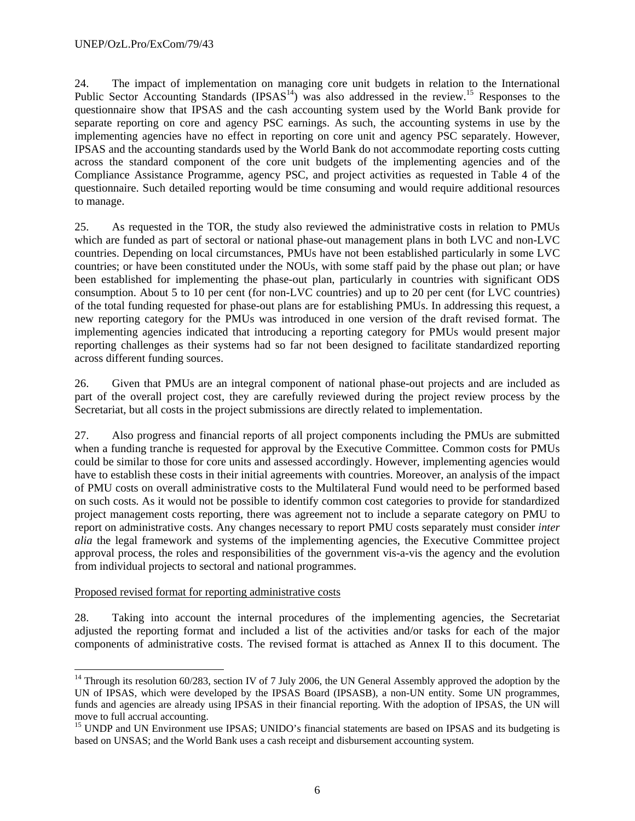24. The impact of implementation on managing core unit budgets in relation to the International Public Sector Accounting Standards (IPSAS<sup>14</sup>) was also addressed in the review.<sup>15</sup> Responses to the questionnaire show that IPSAS and the cash accounting system used by the World Bank provide for separate reporting on core and agency PSC earnings. As such, the accounting systems in use by the implementing agencies have no effect in reporting on core unit and agency PSC separately. However, IPSAS and the accounting standards used by the World Bank do not accommodate reporting costs cutting across the standard component of the core unit budgets of the implementing agencies and of the Compliance Assistance Programme, agency PSC, and project activities as requested in Table 4 of the questionnaire. Such detailed reporting would be time consuming and would require additional resources to manage.

25. As requested in the TOR, the study also reviewed the administrative costs in relation to PMUs which are funded as part of sectoral or national phase-out management plans in both LVC and non-LVC countries. Depending on local circumstances, PMUs have not been established particularly in some LVC countries; or have been constituted under the NOUs, with some staff paid by the phase out plan; or have been established for implementing the phase-out plan, particularly in countries with significant ODS consumption. About 5 to 10 per cent (for non-LVC countries) and up to 20 per cent (for LVC countries) of the total funding requested for phase-out plans are for establishing PMUs. In addressing this request, a new reporting category for the PMUs was introduced in one version of the draft revised format. The implementing agencies indicated that introducing a reporting category for PMUs would present major reporting challenges as their systems had so far not been designed to facilitate standardized reporting across different funding sources.

26. Given that PMUs are an integral component of national phase-out projects and are included as part of the overall project cost, they are carefully reviewed during the project review process by the Secretariat, but all costs in the project submissions are directly related to implementation.

27. Also progress and financial reports of all project components including the PMUs are submitted when a funding tranche is requested for approval by the Executive Committee. Common costs for PMUs could be similar to those for core units and assessed accordingly. However, implementing agencies would have to establish these costs in their initial agreements with countries. Moreover, an analysis of the impact of PMU costs on overall administrative costs to the Multilateral Fund would need to be performed based on such costs. As it would not be possible to identify common cost categories to provide for standardized project management costs reporting, there was agreement not to include a separate category on PMU to report on administrative costs. Any changes necessary to report PMU costs separately must consider *inter alia* the legal framework and systems of the implementing agencies, the Executive Committee project approval process, the roles and responsibilities of the government vis-a-vis the agency and the evolution from individual projects to sectoral and national programmes.

## Proposed revised format for reporting administrative costs

1

28. Taking into account the internal procedures of the implementing agencies, the Secretariat adjusted the reporting format and included a list of the activities and/or tasks for each of the major components of administrative costs. The revised format is attached as Annex II to this document. The

<sup>&</sup>lt;sup>14</sup> Through its resolution 60/283, section IV of 7 July 2006, the UN General Assembly approved the adoption by the UN of IPSAS, which were developed by the IPSAS Board (IPSASB), a non-UN entity. Some UN programmes, funds and agencies are already using IPSAS in their financial reporting. With the adoption of IPSAS, the UN will move to full accrual accounting.

<sup>&</sup>lt;sup>15</sup> UNDP and UN Environment use IPSAS; UNIDO's financial statements are based on IPSAS and its budgeting is based on UNSAS; and the World Bank uses a cash receipt and disbursement accounting system.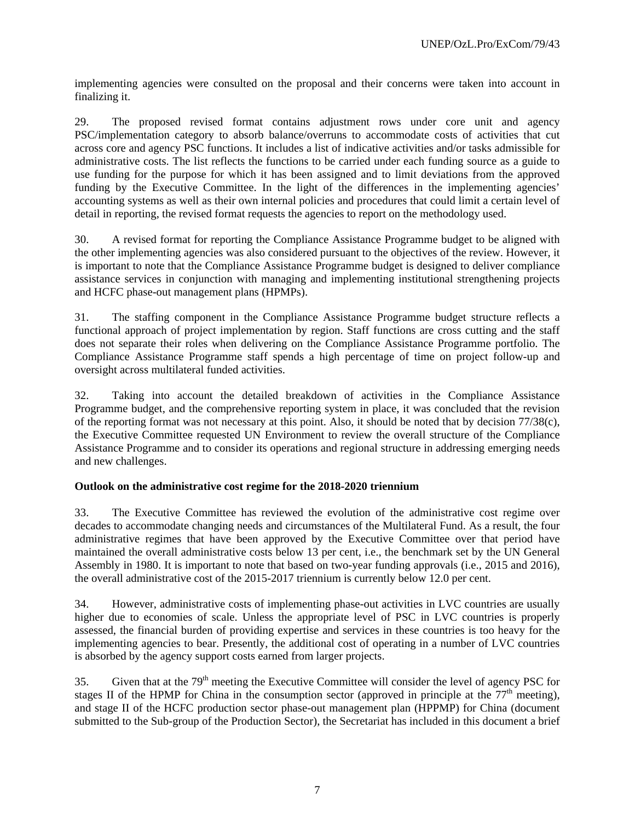implementing agencies were consulted on the proposal and their concerns were taken into account in finalizing it.

29. The proposed revised format contains adjustment rows under core unit and agency PSC/implementation category to absorb balance/overruns to accommodate costs of activities that cut across core and agency PSC functions. It includes a list of indicative activities and/or tasks admissible for administrative costs. The list reflects the functions to be carried under each funding source as a guide to use funding for the purpose for which it has been assigned and to limit deviations from the approved funding by the Executive Committee. In the light of the differences in the implementing agencies' accounting systems as well as their own internal policies and procedures that could limit a certain level of detail in reporting, the revised format requests the agencies to report on the methodology used.

30. A revised format for reporting the Compliance Assistance Programme budget to be aligned with the other implementing agencies was also considered pursuant to the objectives of the review. However, it is important to note that the Compliance Assistance Programme budget is designed to deliver compliance assistance services in conjunction with managing and implementing institutional strengthening projects and HCFC phase-out management plans (HPMPs).

31. The staffing component in the Compliance Assistance Programme budget structure reflects a functional approach of project implementation by region. Staff functions are cross cutting and the staff does not separate their roles when delivering on the Compliance Assistance Programme portfolio. The Compliance Assistance Programme staff spends a high percentage of time on project follow-up and oversight across multilateral funded activities.

32. Taking into account the detailed breakdown of activities in the Compliance Assistance Programme budget, and the comprehensive reporting system in place, it was concluded that the revision of the reporting format was not necessary at this point. Also, it should be noted that by decision 77/38(c), the Executive Committee requested UN Environment to review the overall structure of the Compliance Assistance Programme and to consider its operations and regional structure in addressing emerging needs and new challenges.

## **Outlook on the administrative cost regime for the 2018-2020 triennium**

33. The Executive Committee has reviewed the evolution of the administrative cost regime over decades to accommodate changing needs and circumstances of the Multilateral Fund. As a result, the four administrative regimes that have been approved by the Executive Committee over that period have maintained the overall administrative costs below 13 per cent, i.e., the benchmark set by the UN General Assembly in 1980. It is important to note that based on two-year funding approvals (i.e., 2015 and 2016), the overall administrative cost of the 2015-2017 triennium is currently below 12.0 per cent.

34. However, administrative costs of implementing phase-out activities in LVC countries are usually higher due to economies of scale. Unless the appropriate level of PSC in LVC countries is properly assessed, the financial burden of providing expertise and services in these countries is too heavy for the implementing agencies to bear. Presently, the additional cost of operating in a number of LVC countries is absorbed by the agency support costs earned from larger projects.

35. Given that at the 79<sup>th</sup> meeting the Executive Committee will consider the level of agency PSC for stages II of the HPMP for China in the consumption sector (approved in principle at the  $77<sup>th</sup>$  meeting), and stage II of the HCFC production sector phase-out management plan (HPPMP) for China (document submitted to the Sub-group of the Production Sector), the Secretariat has included in this document a brief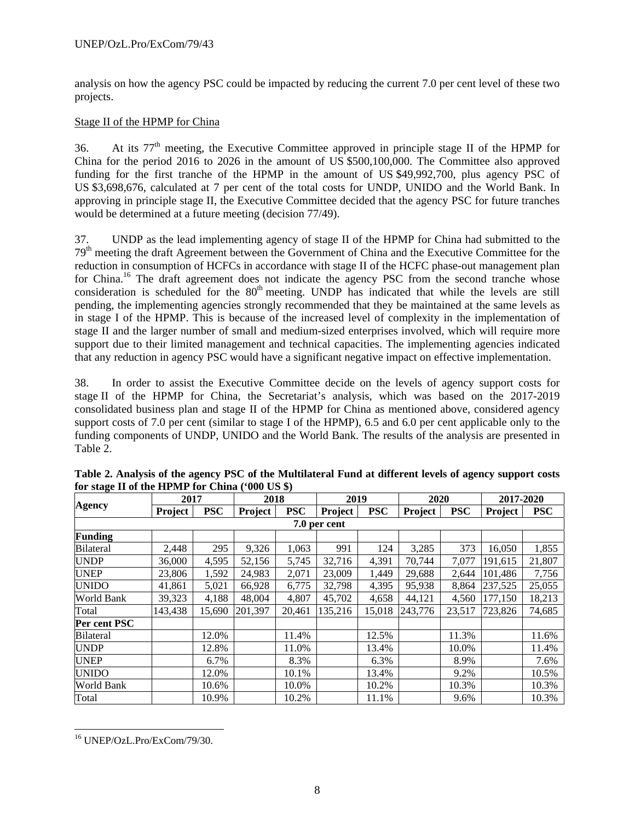analysis on how the agency PSC could be impacted by reducing the current 7.0 per cent level of these two projects.

## Stage II of the HPMP for China

36. At its 77th meeting, the Executive Committee approved in principle stage II of the HPMP for China for the period 2016 to 2026 in the amount of US \$500,100,000. The Committee also approved funding for the first tranche of the HPMP in the amount of US \$49,992,700, plus agency PSC of US \$3,698,676, calculated at 7 per cent of the total costs for UNDP, UNIDO and the World Bank. In approving in principle stage II, the Executive Committee decided that the agency PSC for future tranches would be determined at a future meeting (decision 77/49).

37. UNDP as the lead implementing agency of stage II of the HPMP for China had submitted to the 79<sup>th</sup> meeting the draft Agreement between the Government of China and the Executive Committee for the reduction in consumption of HCFCs in accordance with stage II of the HCFC phase-out management plan for China.<sup>16</sup> The draft agreement does not indicate the agency PSC from the second tranche whose consideration is scheduled for the 80<sup>th</sup> meeting. UNDP has indicated that while the levels are still pending, the implementing agencies strongly recommended that they be maintained at the same levels as in stage I of the HPMP. This is because of the increased level of complexity in the implementation of stage II and the larger number of small and medium-sized enterprises involved, which will require more support due to their limited management and technical capacities. The implementing agencies indicated that any reduction in agency PSC would have a significant negative impact on effective implementation.

38. In order to assist the Executive Committee decide on the levels of agency support costs for stage II of the HPMP for China, the Secretariat's analysis, which was based on the 2017-2019 consolidated business plan and stage II of the HPMP for China as mentioned above, considered agency support costs of 7.0 per cent (similar to stage I of the HPMP), 6.5 and 6.0 per cent applicable only to the funding components of UNDP, UNIDO and the World Bank. The results of the analysis are presented in Table 2.

|                  |                | 2017       |         | 2018       |              | 2019       |         | 2020       | 2017-2020 |            |
|------------------|----------------|------------|---------|------------|--------------|------------|---------|------------|-----------|------------|
| <b>Agency</b>    | <b>Project</b> | <b>PSC</b> | Project | <b>PSC</b> | Project      | <b>PSC</b> | Project | <b>PSC</b> | Project   | <b>PSC</b> |
|                  |                |            |         |            | 7.0 per cent |            |         |            |           |            |
| <b>Funding</b>   |                |            |         |            |              |            |         |            |           |            |
| <b>Bilateral</b> | 2,448          | 295        | 9,326   | 1,063      | 991          | 124        | 3,285   | 373        | 16,050    | 1,855      |
| <b>UNDP</b>      | 36,000         | 4,595      | 52,156  | 5,745      | 32,716       | 4,391      | 70,744  | 7,077      | 191,615   | 21,807     |
| <b>UNEP</b>      | 23,806         | 1,592      | 24,983  | 2,071      | 23,009       | 1,449      | 29,688  | 2,644      | 101,486   | 7,756      |
| <b>UNIDO</b>     | 41,861         | 5,021      | 66,928  | 6,775      | 32,798       | 4,395      | 95,938  | 8,864      | 237,525   | 25,055     |
| World Bank       | 39,323         | 4,188      | 48,004  | 4,807      | 45,702       | 4,658      | 44,121  | 4,560      | 177,150   | 18,213     |
| Total            | 143,438        | 15,690     | 201,397 | 20,461     | 135,216      | 15,018     | 243,776 | 23,517     | 723,826   | 74,685     |
| Per cent PSC     |                |            |         |            |              |            |         |            |           |            |
| <b>Bilateral</b> |                | 12.0%      |         | 11.4%      |              | 12.5%      |         | 11.3%      |           | 11.6%      |
| <b>UNDP</b>      |                | 12.8%      |         | 11.0%      |              | 13.4%      |         | 10.0%      |           | 11.4%      |
| <b>UNEP</b>      |                | 6.7%       |         | 8.3%       |              | 6.3%       |         | 8.9%       |           | 7.6%       |
| <b>UNIDO</b>     |                | 12.0%      |         | 10.1%      |              | 13.4%      |         | 9.2%       |           | 10.5%      |
| World Bank       |                | 10.6%      |         | 10.0%      |              | 10.2%      |         | 10.3%      |           | 10.3%      |
| Total            |                | 10.9%      |         | 10.2%      |              | 11.1%      |         | 9.6%       |           | 10.3%      |

**Table 2. Analysis of the agency PSC of the Multilateral Fund at different levels of agency support costs for stage II of the HPMP for China ('000 US \$)** 

l 16 UNEP/OzL.Pro/ExCom/79/30.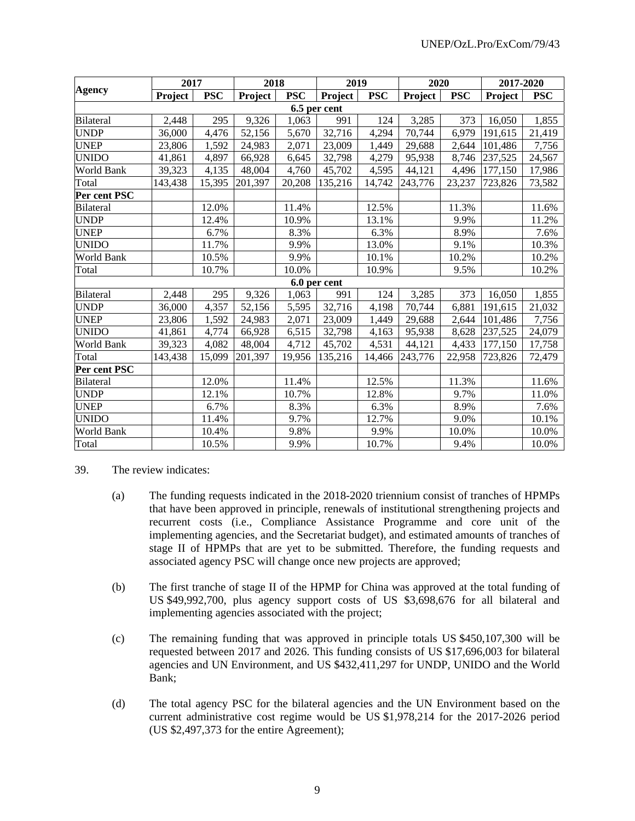|                   |         | 2017       |         | 2018       |              | 2019       | 2020    |            | 2017-2020 |            |
|-------------------|---------|------------|---------|------------|--------------|------------|---------|------------|-----------|------------|
| <b>Agency</b>     | Project | <b>PSC</b> | Project | <b>PSC</b> | Project      | <b>PSC</b> | Project | <b>PSC</b> | Project   | <b>PSC</b> |
|                   |         |            |         |            | 6.5 per cent |            |         |            |           |            |
| Bilateral         | 2,448   | 295        | 9,326   | 1,063      | 991          | 124        | 3,285   | 373        | 16,050    | 1,855      |
| <b>UNDP</b>       | 36,000  | 4,476      | 52,156  | 5,670      | 32,716       | 4,294      | 70,744  | 6,979      | 191,615   | 21,419     |
| <b>UNEP</b>       | 23,806  | 1,592      | 24,983  | 2,071      | 23,009       | 1,449      | 29,688  | 2,644      | 101,486   | 7,756      |
| <b>UNIDO</b>      | 41,861  | 4,897      | 66,928  | 6,645      | 32,798       | 4,279      | 95,938  | 8,746      | 237,525   | 24,567     |
| World Bank        | 39,323  | 4,135      | 48,004  | 4,760      | 45,702       | 4,595      | 44,121  | 4,496      | 177,150   | 17,986     |
| Total             | 143,438 | 15,395     | 201,397 | 20,208     | 135,216      | 14,742     | 243,776 | 23,237     | 723,826   | 73,582     |
| Per cent PSC      |         |            |         |            |              |            |         |            |           |            |
| Bilateral         |         | 12.0%      |         | 11.4%      |              | 12.5%      |         | 11.3%      |           | 11.6%      |
| <b>UNDP</b>       |         | 12.4%      |         | 10.9%      |              | 13.1%      |         | 9.9%       |           | 11.2%      |
| <b>UNEP</b>       |         | 6.7%       |         | 8.3%       |              | 6.3%       |         | 8.9%       |           | 7.6%       |
| <b>UNIDO</b>      |         | 11.7%      |         | 9.9%       |              | 13.0%      |         | 9.1%       |           | 10.3%      |
| World Bank        |         | 10.5%      |         | 9.9%       |              | 10.1%      |         | 10.2%      |           | 10.2%      |
| Total             |         | 10.7%      |         | 10.0%      |              | 10.9%      |         | 9.5%       |           | 10.2%      |
|                   |         |            |         |            | 6.0 per cent |            |         |            |           |            |
| <b>Bilateral</b>  | 2,448   | 295        | 9,326   | 1,063      | 991          | 124        | 3,285   | 373        | 16,050    | 1,855      |
| <b>UNDP</b>       | 36,000  | 4,357      | 52,156  | 5,595      | 32,716       | 4,198      | 70,744  | 6,881      | 191,615   | 21,032     |
| <b>UNEP</b>       | 23,806  | 1,592      | 24,983  | 2,071      | 23,009       | 1,449      | 29,688  | 2,644      | 101,486   | 7,756      |
| <b>UNIDO</b>      | 41,861  | 4,774      | 66,928  | 6,515      | 32,798       | 4,163      | 95,938  | 8,628      | 237,525   | 24,079     |
| <b>World Bank</b> | 39,323  | 4,082      | 48,004  | 4,712      | 45,702       | 4,531      | 44,121  | 4,433      | 177,150   | 17,758     |
| Total             | 143,438 | 15,099     | 201,397 | 19,956     | 135,216      | 14,466     | 243,776 | 22,958     | 723,826   | 72,479     |
| Per cent PSC      |         |            |         |            |              |            |         |            |           |            |
| <b>Bilateral</b>  |         | 12.0%      |         | 11.4%      |              | 12.5%      |         | 11.3%      |           | 11.6%      |
| <b>UNDP</b>       |         | 12.1%      |         | 10.7%      |              | 12.8%      |         | 9.7%       |           | 11.0%      |
| <b>UNEP</b>       |         | 6.7%       |         | 8.3%       |              | 6.3%       |         | 8.9%       |           | 7.6%       |
| <b>UNIDO</b>      |         | 11.4%      |         | 9.7%       |              | 12.7%      |         | 9.0%       |           | 10.1%      |
| World Bank        |         | 10.4%      |         | 9.8%       |              | 9.9%       |         | 10.0%      |           | 10.0%      |
| Total             |         | 10.5%      |         | 9.9%       |              | 10.7%      |         | 9.4%       |           | 10.0%      |

39. The review indicates:

- (a) The funding requests indicated in the 2018-2020 triennium consist of tranches of HPMPs that have been approved in principle, renewals of institutional strengthening projects and recurrent costs (i.e., Compliance Assistance Programme and core unit of the implementing agencies, and the Secretariat budget), and estimated amounts of tranches of stage II of HPMPs that are yet to be submitted. Therefore, the funding requests and associated agency PSC will change once new projects are approved;
- (b) The first tranche of stage II of the HPMP for China was approved at the total funding of US \$49,992,700, plus agency support costs of US \$3,698,676 for all bilateral and implementing agencies associated with the project;
- (c) The remaining funding that was approved in principle totals US \$450,107,300 will be requested between 2017 and 2026. This funding consists of US \$17,696,003 for bilateral agencies and UN Environment, and US \$432,411,297 for UNDP, UNIDO and the World Bank;
- (d) The total agency PSC for the bilateral agencies and the UN Environment based on the current administrative cost regime would be US \$1,978,214 for the 2017-2026 period (US \$2,497,373 for the entire Agreement);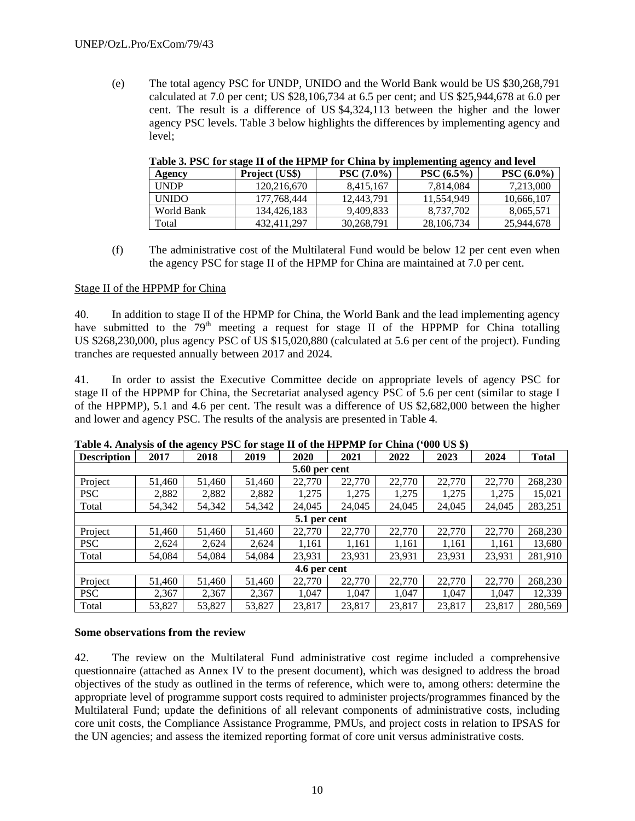(e) The total agency PSC for UNDP, UNIDO and the World Bank would be US \$30,268,791 calculated at 7.0 per cent; US \$28,106,734 at 6.5 per cent; and US \$25,944,678 at 6.0 per cent. The result is a difference of US \$4,324,113 between the higher and the lower agency PSC levels. Table 3 below highlights the differences by implementing agency and level;

| ----         |                |              |                   |               |  |  |  |  |  |  |  |
|--------------|----------------|--------------|-------------------|---------------|--|--|--|--|--|--|--|
| Agency       | Project (US\$) | $PSC(7.0\%)$ | $\rm PSC (6.5\%)$ | $PSC (6.0\%)$ |  |  |  |  |  |  |  |
| <b>UNDP</b>  | 120.216.670    | 8.415.167    | 7.814.084         | 7.213,000     |  |  |  |  |  |  |  |
| <b>UNIDO</b> | 177.768.444    | 12.443.791   | 11.554.949        | 10.666.107    |  |  |  |  |  |  |  |
| World Bank   | 134.426.183    | 9.409.833    | 8.737.702         | 8.065.571     |  |  |  |  |  |  |  |
| Total        | 432.411.297    | 30,268,791   | 28, 106, 734      | 25,944,678    |  |  |  |  |  |  |  |

**Table 3. PSC for stage II of the HPMP for China by implementing agency and level** 

(f) The administrative cost of the Multilateral Fund would be below 12 per cent even when the agency PSC for stage II of the HPMP for China are maintained at 7.0 per cent.

#### Stage II of the HPPMP for China

40. In addition to stage II of the HPMP for China, the World Bank and the lead implementing agency have submitted to the  $79<sup>th</sup>$  meeting a request for stage II of the HPPMP for China totalling US \$268,230,000, plus agency PSC of US \$15,020,880 (calculated at 5.6 per cent of the project). Funding tranches are requested annually between 2017 and 2024.

41. In order to assist the Executive Committee decide on appropriate levels of agency PSC for stage II of the HPPMP for China, the Secretariat analysed agency PSC of 5.6 per cent (similar to stage I of the HPPMP), 5.1 and 4.6 per cent. The result was a difference of US \$2,682,000 between the higher and lower and agency PSC. The results of the analysis are presented in Table 4.

| <b>Description</b> | 2017   | 2018   | 2019   | 2020         | 2021   | 2022   | 2023   | 2024   | <b>Total</b> |  |  |  |
|--------------------|--------|--------|--------|--------------|--------|--------|--------|--------|--------------|--|--|--|
| 5.60 per cent      |        |        |        |              |        |        |        |        |              |  |  |  |
| Project            | 51,460 | 51,460 | 51,460 | 22,770       | 22,770 | 22,770 | 22,770 | 22,770 | 268,230      |  |  |  |
| <b>PSC</b>         | 2,882  | 2,882  | 2,882  | 1,275        | 1,275  | 1,275  | 1,275  | 1,275  | 15,021       |  |  |  |
| Total              | 54,342 | 54,342 | 54,342 | 24,045       | 24,045 | 24,045 | 24,045 | 24,045 | 283,251      |  |  |  |
| 5.1 per cent       |        |        |        |              |        |        |        |        |              |  |  |  |
| Project            | 51,460 | 51,460 | 51,460 | 22,770       | 22,770 | 22,770 | 22,770 | 22,770 | 268,230      |  |  |  |
| <b>PSC</b>         | 2,624  | 2,624  | 2,624  | 1,161        | 1,161  | 1,161  | 1,161  | 1,161  | 13,680       |  |  |  |
| Total              | 54,084 | 54,084 | 54,084 | 23,931       | 23,931 | 23,931 | 23,931 | 23,931 | 281,910      |  |  |  |
|                    |        |        |        | 4.6 per cent |        |        |        |        |              |  |  |  |
| Project            | 51,460 | 51,460 | 51,460 | 22,770       | 22,770 | 22,770 | 22,770 | 22,770 | 268,230      |  |  |  |
| <b>PSC</b>         | 2,367  | 2,367  | 2,367  | 1,047        | 1,047  | 1,047  | 1.047  | 1,047  | 12,339       |  |  |  |
| Total              | 53,827 | 53,827 | 53,827 | 23.817       | 23,817 | 23,817 | 23,817 | 23.817 | 280,569      |  |  |  |

**Table 4. Analysis of the agency PSC for stage II of the HPPMP for China ('000 US \$)** 

#### **Some observations from the review**

42. The review on the Multilateral Fund administrative cost regime included a comprehensive questionnaire (attached as Annex IV to the present document), which was designed to address the broad objectives of the study as outlined in the terms of reference, which were to, among others: determine the appropriate level of programme support costs required to administer projects/programmes financed by the Multilateral Fund; update the definitions of all relevant components of administrative costs, including core unit costs, the Compliance Assistance Programme, PMUs, and project costs in relation to IPSAS for the UN agencies; and assess the itemized reporting format of core unit versus administrative costs.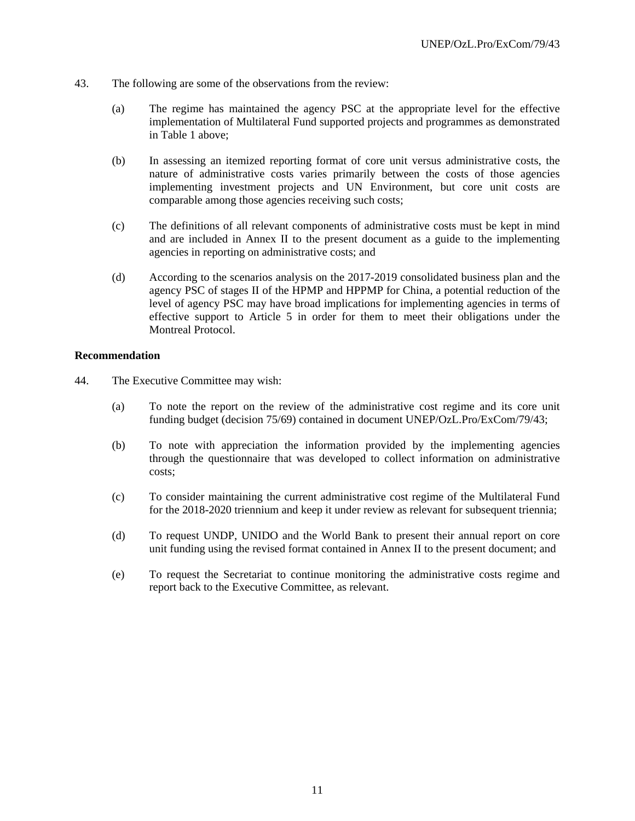- 43. The following are some of the observations from the review:
	- (a) The regime has maintained the agency PSC at the appropriate level for the effective implementation of Multilateral Fund supported projects and programmes as demonstrated in Table 1 above;
	- (b) In assessing an itemized reporting format of core unit versus administrative costs, the nature of administrative costs varies primarily between the costs of those agencies implementing investment projects and UN Environment, but core unit costs are comparable among those agencies receiving such costs;
	- (c) The definitions of all relevant components of administrative costs must be kept in mind and are included in Annex II to the present document as a guide to the implementing agencies in reporting on administrative costs; and
	- (d) According to the scenarios analysis on the 2017-2019 consolidated business plan and the agency PSC of stages II of the HPMP and HPPMP for China, a potential reduction of the level of agency PSC may have broad implications for implementing agencies in terms of effective support to Article 5 in order for them to meet their obligations under the Montreal Protocol.

#### **Recommendation**

- 44. The Executive Committee may wish:
	- (a) To note the report on the review of the administrative cost regime and its core unit funding budget (decision 75/69) contained in document UNEP/OzL.Pro/ExCom/79/43;
	- (b) To note with appreciation the information provided by the implementing agencies through the questionnaire that was developed to collect information on administrative costs;
	- (c) To consider maintaining the current administrative cost regime of the Multilateral Fund for the 2018-2020 triennium and keep it under review as relevant for subsequent triennia;
	- (d) To request UNDP, UNIDO and the World Bank to present their annual report on core unit funding using the revised format contained in Annex II to the present document; and
	- (e) To request the Secretariat to continue monitoring the administrative costs regime and report back to the Executive Committee, as relevant.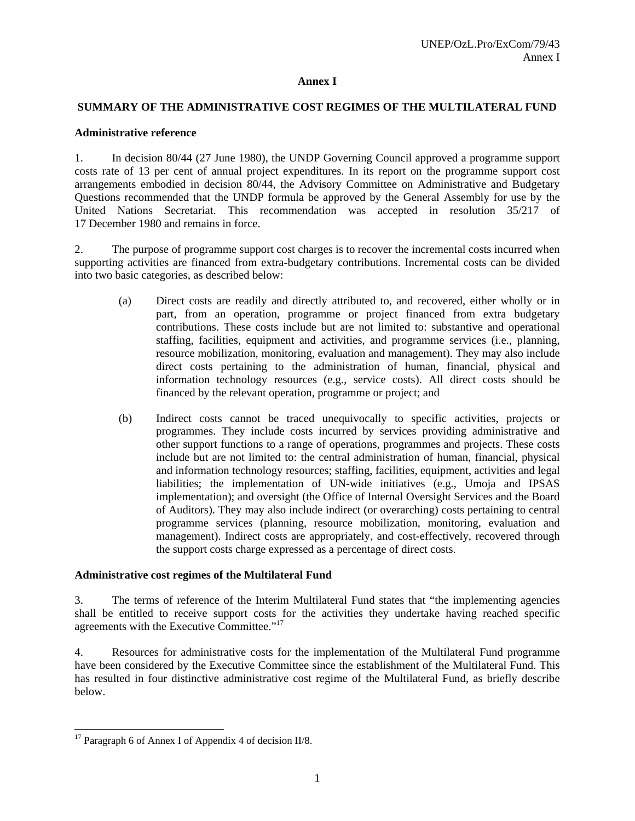## **Annex I**

#### **SUMMARY OF THE ADMINISTRATIVE COST REGIMES OF THE MULTILATERAL FUND**

#### **Administrative reference**

1. In decision 80/44 (27 June 1980), the UNDP Governing Council approved a programme support costs rate of 13 per cent of annual project expenditures. In its report on the programme support cost arrangements embodied in decision 80/44, the Advisory Committee on Administrative and Budgetary Questions recommended that the UNDP formula be approved by the General Assembly for use by the United Nations Secretariat. This recommendation was accepted in resolution 35/217 of 17 December 1980 and remains in force.

2. The purpose of programme support cost charges is to recover the incremental costs incurred when supporting activities are financed from extra-budgetary contributions. Incremental costs can be divided into two basic categories, as described below:

- (a) Direct costs are readily and directly attributed to, and recovered, either wholly or in part, from an operation, programme or project financed from extra budgetary contributions. These costs include but are not limited to: substantive and operational staffing, facilities, equipment and activities, and programme services (i.e., planning, resource mobilization, monitoring, evaluation and management). They may also include direct costs pertaining to the administration of human, financial, physical and information technology resources (e.g., service costs). All direct costs should be financed by the relevant operation, programme or project; and
- (b) Indirect costs cannot be traced unequivocally to specific activities, projects or programmes. They include costs incurred by services providing administrative and other support functions to a range of operations, programmes and projects. These costs include but are not limited to: the central administration of human, financial, physical and information technology resources; staffing, facilities, equipment, activities and legal liabilities; the implementation of UN-wide initiatives (e.g., Umoja and IPSAS implementation); and oversight (the Office of Internal Oversight Services and the Board of Auditors). They may also include indirect (or overarching) costs pertaining to central programme services (planning, resource mobilization, monitoring, evaluation and management). Indirect costs are appropriately, and cost-effectively, recovered through the support costs charge expressed as a percentage of direct costs.

#### **Administrative cost regimes of the Multilateral Fund**

3. The terms of reference of the Interim Multilateral Fund states that "the implementing agencies shall be entitled to receive support costs for the activities they undertake having reached specific agreements with the Executive Committee."17

4. Resources for administrative costs for the implementation of the Multilateral Fund programme have been considered by the Executive Committee since the establishment of the Multilateral Fund. This has resulted in four distinctive administrative cost regime of the Multilateral Fund, as briefly describe below.

 $17$  Paragraph 6 of Annex I of Appendix 4 of decision II/8.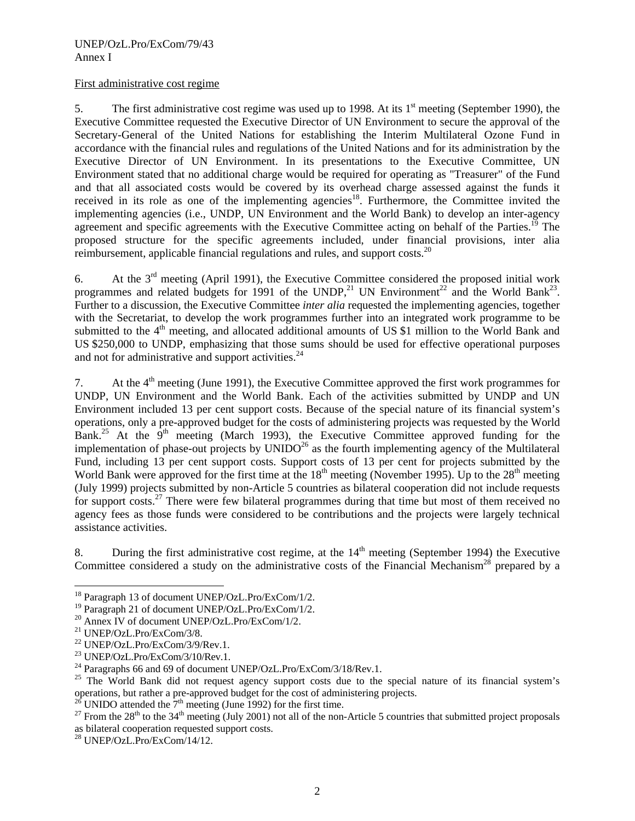#### First administrative cost regime

5. The first administrative cost regime was used up to 1998. At its  $1<sup>st</sup>$  meeting (September 1990), the Executive Committee requested the Executive Director of UN Environment to secure the approval of the Secretary-General of the United Nations for establishing the Interim Multilateral Ozone Fund in accordance with the financial rules and regulations of the United Nations and for its administration by the Executive Director of UN Environment. In its presentations to the Executive Committee, UN Environment stated that no additional charge would be required for operating as "Treasurer" of the Fund and that all associated costs would be covered by its overhead charge assessed against the funds it received in its role as one of the implementing agencies<sup>18</sup>. Furthermore, the Committee invited the implementing agencies (i.e., UNDP, UN Environment and the World Bank) to develop an inter-agency agreement and specific agreements with the Executive Committee acting on behalf of the Parties.<sup>19</sup> The proposed structure for the specific agreements included, under financial provisions, inter alia reimbursement, applicable financial regulations and rules, and support costs.<sup>20</sup>

6. At the  $3<sup>rd</sup>$  meeting (April 1991), the Executive Committee considered the proposed initial work programmes and related budgets for 1991 of the UNDP,<sup>21</sup> UN Environment<sup>22</sup> and the World Bank<sup>23</sup>. Further to a discussion, the Executive Committee *inter alia* requested the implementing agencies, together with the Secretariat, to develop the work programmes further into an integrated work programme to be submitted to the 4<sup>th</sup> meeting, and allocated additional amounts of US \$1 million to the World Bank and US \$250,000 to UNDP, emphasizing that those sums should be used for effective operational purposes and not for administrative and support activities.<sup>24</sup>

7. At the 4th meeting (June 1991), the Executive Committee approved the first work programmes for UNDP, UN Environment and the World Bank. Each of the activities submitted by UNDP and UN Environment included 13 per cent support costs. Because of the special nature of its financial system's operations, only a pre-approved budget for the costs of administering projects was requested by the World Bank.<sup>25</sup> At the  $9<sup>th</sup>$  meeting (March 1993), the Executive Committee approved funding for the implementation of phase-out projects by  $UNIDO^{26}$  as the fourth implementing agency of the Multilateral Fund, including 13 per cent support costs. Support costs of 13 per cent for projects submitted by the World Bank were approved for the first time at the  $18<sup>th</sup>$  meeting (November 1995). Up to the  $28<sup>th</sup>$  meeting (July 1999) projects submitted by non-Article 5 countries as bilateral cooperation did not include requests for support costs.<sup>27</sup> There were few bilateral programmes during that time but most of them received no agency fees as those funds were considered to be contributions and the projects were largely technical assistance activities.

8. During the first administrative cost regime, at the  $14<sup>th</sup>$  meeting (September 1994) the Executive Committee considered a study on the administrative costs of the Financial Mechanism<sup>28</sup> prepared by a

<sup>&</sup>lt;sup>18</sup> Paragraph 13 of document UNEP/OzL.Pro/ExCom/1/2.

<sup>&</sup>lt;sup>19</sup> Paragraph 21 of document UNEP/OzL.Pro/ExCom/1/2.

<sup>&</sup>lt;sup>20</sup> Annex IV of document UNEP/OzL.Pro/ExCom/1/2.

<sup>21</sup> UNEP/OzL.Pro/ExCom/3/8.

<sup>22</sup> UNEP/OzL.Pro/ExCom/3/9/Rev.1.

<sup>23</sup> UNEP/OzL.Pro/ExCom/3/10/Rev.1.

<sup>&</sup>lt;sup>24</sup> Paragraphs 66 and 69 of document UNEP/OzL.Pro/ExCom/3/18/Rev.1.

<sup>&</sup>lt;sup>25</sup> The World Bank did not request agency support costs due to the special nature of its financial system's operations, but rather a pre-approved budget for the cost of administering projects.

<sup>&</sup>lt;sup>26</sup> UNIDO attended the  $7<sup>th</sup>$  meeting (June 1992) for the first time.<br><sup>27</sup> From the 28<sup>th</sup> to the 34<sup>th</sup> meeting (July 2001) not all of the non-Article 5 countries that submitted project proposals as bilateral cooperation requested support costs.

<sup>28</sup> UNEP/OzL.Pro/ExCom/14/12.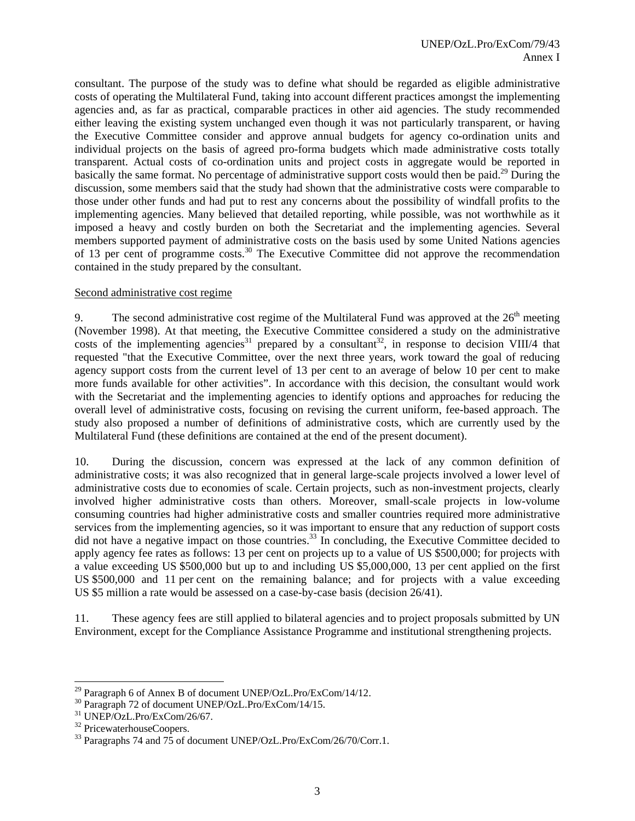consultant. The purpose of the study was to define what should be regarded as eligible administrative costs of operating the Multilateral Fund, taking into account different practices amongst the implementing agencies and, as far as practical, comparable practices in other aid agencies. The study recommended either leaving the existing system unchanged even though it was not particularly transparent, or having the Executive Committee consider and approve annual budgets for agency co-ordination units and individual projects on the basis of agreed pro-forma budgets which made administrative costs totally transparent. Actual costs of co-ordination units and project costs in aggregate would be reported in basically the same format. No percentage of administrative support costs would then be paid.<sup>29</sup> During the discussion, some members said that the study had shown that the administrative costs were comparable to those under other funds and had put to rest any concerns about the possibility of windfall profits to the implementing agencies. Many believed that detailed reporting, while possible, was not worthwhile as it imposed a heavy and costly burden on both the Secretariat and the implementing agencies. Several members supported payment of administrative costs on the basis used by some United Nations agencies of 13 per cent of programme costs.30 The Executive Committee did not approve the recommendation contained in the study prepared by the consultant.

#### Second administrative cost regime

9. The second administrative cost regime of the Multilateral Fund was approved at the  $26<sup>th</sup>$  meeting (November 1998). At that meeting, the Executive Committee considered a study on the administrative costs of the implementing agencies<sup>31</sup> prepared by a consultant<sup>32</sup>, in response to decision VIII/4 that requested "that the Executive Committee, over the next three years, work toward the goal of reducing agency support costs from the current level of 13 per cent to an average of below 10 per cent to make more funds available for other activities". In accordance with this decision, the consultant would work with the Secretariat and the implementing agencies to identify options and approaches for reducing the overall level of administrative costs, focusing on revising the current uniform, fee-based approach. The study also proposed a number of definitions of administrative costs, which are currently used by the Multilateral Fund (these definitions are contained at the end of the present document).

10. During the discussion, concern was expressed at the lack of any common definition of administrative costs; it was also recognized that in general large-scale projects involved a lower level of administrative costs due to economies of scale. Certain projects, such as non-investment projects, clearly involved higher administrative costs than others. Moreover, small-scale projects in low-volume consuming countries had higher administrative costs and smaller countries required more administrative services from the implementing agencies, so it was important to ensure that any reduction of support costs did not have a negative impact on those countries.<sup>33</sup> In concluding, the Executive Committee decided to apply agency fee rates as follows: 13 per cent on projects up to a value of US \$500,000; for projects with a value exceeding US \$500,000 but up to and including US \$5,000,000, 13 per cent applied on the first US \$500,000 and 11 per cent on the remaining balance; and for projects with a value exceeding US \$5 million a rate would be assessed on a case-by-case basis (decision 26/41).

11. These agency fees are still applied to bilateral agencies and to project proposals submitted by UN Environment, except for the Compliance Assistance Programme and institutional strengthening projects.

1

<sup>&</sup>lt;sup>29</sup> Paragraph 6 of Annex B of document UNEP/OzL.Pro/ExCom/14/12.

<sup>30</sup> Paragraph 72 of document UNEP/OzL.Pro/ExCom/14/15.

 $31$  UNEP/OzL.Pro/ExCom/26/67.

<sup>&</sup>lt;sup>32</sup> PricewaterhouseCoopers.

<sup>&</sup>lt;sup>33</sup> Paragraphs 74 and 75 of document UNEP/OzL.Pro/ExCom/26/70/Corr.1.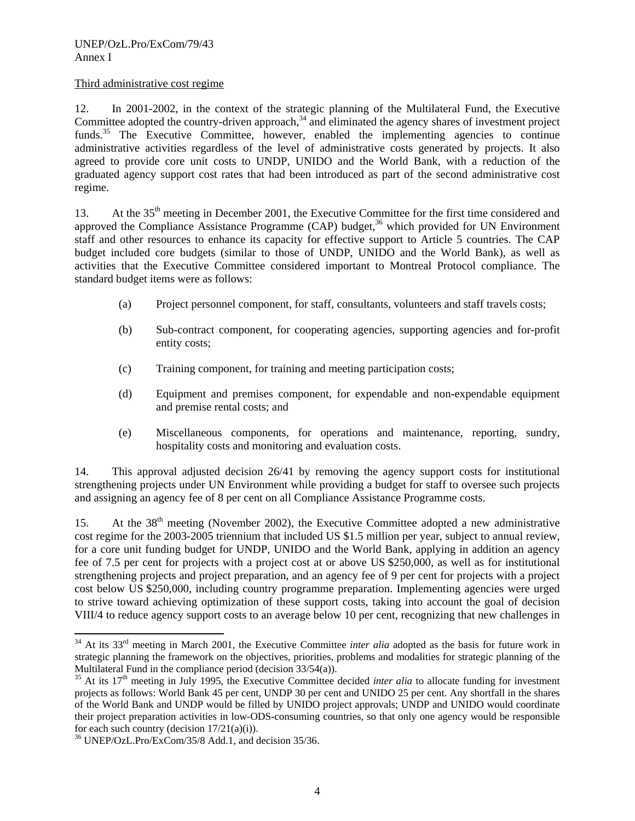## Third administrative cost regime

12. In 2001-2002, in the context of the strategic planning of the Multilateral Fund, the Executive Committee adopted the country-driven approach, $34$  and eliminated the agency shares of investment project funds.<sup>35</sup> The Executive Committee, however, enabled the implementing agencies to continue administrative activities regardless of the level of administrative costs generated by projects. It also agreed to provide core unit costs to UNDP, UNIDO and the World Bank, with a reduction of the graduated agency support cost rates that had been introduced as part of the second administrative cost regime.

13. At the 35<sup>th</sup> meeting in December 2001, the Executive Committee for the first time considered and approved the Compliance Assistance Programme  $(CAP)$  budget,<sup>36</sup> which provided for UN Environment staff and other resources to enhance its capacity for effective support to Article 5 countries. The CAP budget included core budgets (similar to those of UNDP, UNIDO and the World Bank), as well as activities that the Executive Committee considered important to Montreal Protocol compliance. The standard budget items were as follows:

- (a) Project personnel component, for staff, consultants, volunteers and staff travels costs;
- (b) Sub-contract component, for cooperating agencies, supporting agencies and for-profit entity costs;
- (c) Training component, for training and meeting participation costs;
- (d) Equipment and premises component, for expendable and non-expendable equipment and premise rental costs; and
- (e) Miscellaneous components, for operations and maintenance, reporting, sundry, hospitality costs and monitoring and evaluation costs.

14. This approval adjusted decision 26/41 by removing the agency support costs for institutional strengthening projects under UN Environment while providing a budget for staff to oversee such projects and assigning an agency fee of 8 per cent on all Compliance Assistance Programme costs.

15. At the  $38<sup>th</sup>$  meeting (November 2002), the Executive Committee adopted a new administrative cost regime for the 2003-2005 triennium that included US \$1.5 million per year, subject to annual review, for a core unit funding budget for UNDP, UNIDO and the World Bank, applying in addition an agency fee of 7.5 per cent for projects with a project cost at or above US \$250,000, as well as for institutional strengthening projects and project preparation, and an agency fee of 9 per cent for projects with a project cost below US \$250,000, including country programme preparation. Implementing agencies were urged to strive toward achieving optimization of these support costs, taking into account the goal of decision VIII/4 to reduce agency support costs to an average below 10 per cent, recognizing that new challenges in

<sup>&</sup>lt;sup>34</sup> At its 33<sup>rd</sup> meeting in March 2001, the Executive Committee *inter alia* adopted as the basis for future work in strategic planning the framework on the objectives, priorities, problems and modalities for strategic planning of the Multilateral Fund in the compliance period (decision 33/54(a)).

 $35$  At its  $17<sup>th</sup>$  meeting in July 1995, the Executive Committee decided *inter alia* to allocate funding for investment projects as follows: World Bank 45 per cent, UNDP 30 per cent and UNIDO 25 per cent. Any shortfall in the shares of the World Bank and UNDP would be filled by UNIDO project approvals; UNDP and UNIDO would coordinate their project preparation activities in low-ODS-consuming countries, so that only one agency would be responsible for each such country (decision  $17/21(a)(i)$ ).

 $36$  UNEP/OzL.Pro/ExCom/35/8 Add.1, and decision 35/36.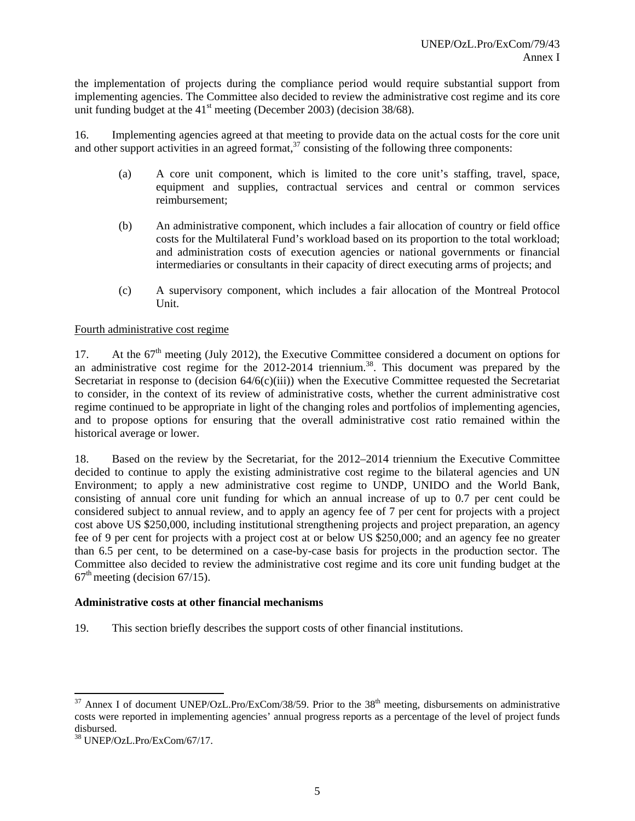the implementation of projects during the compliance period would require substantial support from implementing agencies. The Committee also decided to review the administrative cost regime and its core unit funding budget at the  $41<sup>st</sup>$  meeting (December 2003) (decision 38/68).

16. Implementing agencies agreed at that meeting to provide data on the actual costs for the core unit and other support activities in an agreed format,<sup>37</sup> consisting of the following three components:

- (a) A core unit component, which is limited to the core unit's staffing, travel, space, equipment and supplies, contractual services and central or common services reimbursement;
- (b) An administrative component, which includes a fair allocation of country or field office costs for the Multilateral Fund's workload based on its proportion to the total workload; and administration costs of execution agencies or national governments or financial intermediaries or consultants in their capacity of direct executing arms of projects; and
- (c) A supervisory component, which includes a fair allocation of the Montreal Protocol Unit.

## Fourth administrative cost regime

17. At the  $67<sup>th</sup>$  meeting (July 2012), the Executive Committee considered a document on options for an administrative cost regime for the 2012-2014 triennium.<sup>38</sup>. This document was prepared by the Secretariat in response to (decision  $64/6(c)$ (iii)) when the Executive Committee requested the Secretariat to consider, in the context of its review of administrative costs, whether the current administrative cost regime continued to be appropriate in light of the changing roles and portfolios of implementing agencies, and to propose options for ensuring that the overall administrative cost ratio remained within the historical average or lower.

18. Based on the review by the Secretariat, for the 2012–2014 triennium the Executive Committee decided to continue to apply the existing administrative cost regime to the bilateral agencies and UN Environment; to apply a new administrative cost regime to UNDP, UNIDO and the World Bank, consisting of annual core unit funding for which an annual increase of up to 0.7 per cent could be considered subject to annual review, and to apply an agency fee of 7 per cent for projects with a project cost above US \$250,000, including institutional strengthening projects and project preparation, an agency fee of 9 per cent for projects with a project cost at or below US \$250,000; and an agency fee no greater than 6.5 per cent, to be determined on a case-by-case basis for projects in the production sector. The Committee also decided to review the administrative cost regime and its core unit funding budget at the  $67<sup>th</sup>$  meeting (decision  $67/15$ ).

#### **Administrative costs at other financial mechanisms**

19. This section briefly describes the support costs of other financial institutions.

 $37$  Annex I of document UNEP/OzL.Pro/ExCom/38/59. Prior to the  $38<sup>th</sup>$  meeting, disbursements on administrative costs were reported in implementing agencies' annual progress reports as a percentage of the level of project funds disbursed.

<sup>38</sup> UNEP/OzL.Pro/ExCom/67/17.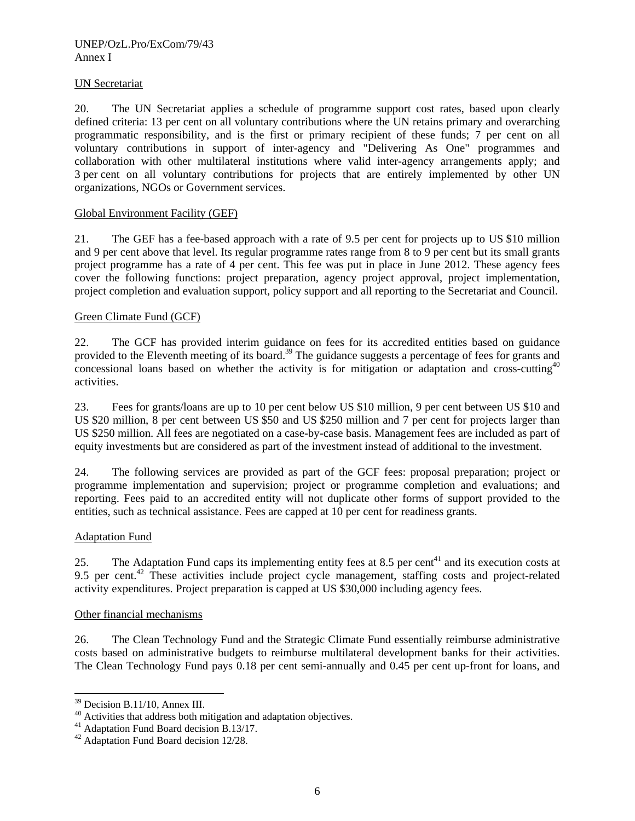## UN Secretariat

20. The UN Secretariat applies a schedule of programme support cost rates, based upon clearly defined criteria: 13 per cent on all voluntary contributions where the UN retains primary and overarching programmatic responsibility, and is the first or primary recipient of these funds; 7 per cent on all voluntary contributions in support of inter-agency and "Delivering As One" programmes and collaboration with other multilateral institutions where valid inter-agency arrangements apply; and 3 per cent on all voluntary contributions for projects that are entirely implemented by other UN organizations, NGOs or Government services.

## Global Environment Facility (GEF)

21. The GEF has a fee-based approach with a rate of 9.5 per cent for projects up to US \$10 million and 9 per cent above that level. Its regular programme rates range from 8 to 9 per cent but its small grants project programme has a rate of 4 per cent. This fee was put in place in June 2012. These agency fees cover the following functions: project preparation, agency project approval, project implementation, project completion and evaluation support, policy support and all reporting to the Secretariat and Council.

#### Green Climate Fund (GCF)

22. The GCF has provided interim guidance on fees for its accredited entities based on guidance provided to the Eleventh meeting of its board.<sup>39</sup> The guidance suggests a percentage of fees for grants and concessional loans based on whether the activity is for mitigation or adaptation and cross-cutting<sup>40</sup> activities.

23. Fees for grants/loans are up to 10 per cent below US \$10 million, 9 per cent between US \$10 and US \$20 million, 8 per cent between US \$50 and US \$250 million and 7 per cent for projects larger than US \$250 million. All fees are negotiated on a case-by-case basis. Management fees are included as part of equity investments but are considered as part of the investment instead of additional to the investment.

24. The following services are provided as part of the GCF fees: proposal preparation; project or programme implementation and supervision; project or programme completion and evaluations; and reporting. Fees paid to an accredited entity will not duplicate other forms of support provided to the entities, such as technical assistance. Fees are capped at 10 per cent for readiness grants.

## Adaptation Fund

25. The Adaptation Fund caps its implementing entity fees at 8.5 per cent<sup>41</sup> and its execution costs at 9.5 per cent.<sup>42</sup> These activities include project cycle management, staffing costs and project-related activity expenditures. Project preparation is capped at US \$30,000 including agency fees.

## Other financial mechanisms

26. The Clean Technology Fund and the Strategic Climate Fund essentially reimburse administrative costs based on administrative budgets to reimburse multilateral development banks for their activities. The Clean Technology Fund pays 0.18 per cent semi-annually and 0.45 per cent up-front for loans, and

<sup>39</sup> Decision B.11/10, Annex III.

<sup>&</sup>lt;sup>40</sup> Activities that address both mitigation and adaptation objectives.

<sup>&</sup>lt;sup>41</sup> Adaptation Fund Board decision B.13/17.

<sup>&</sup>lt;sup>42</sup> Adaptation Fund Board decision 12/28.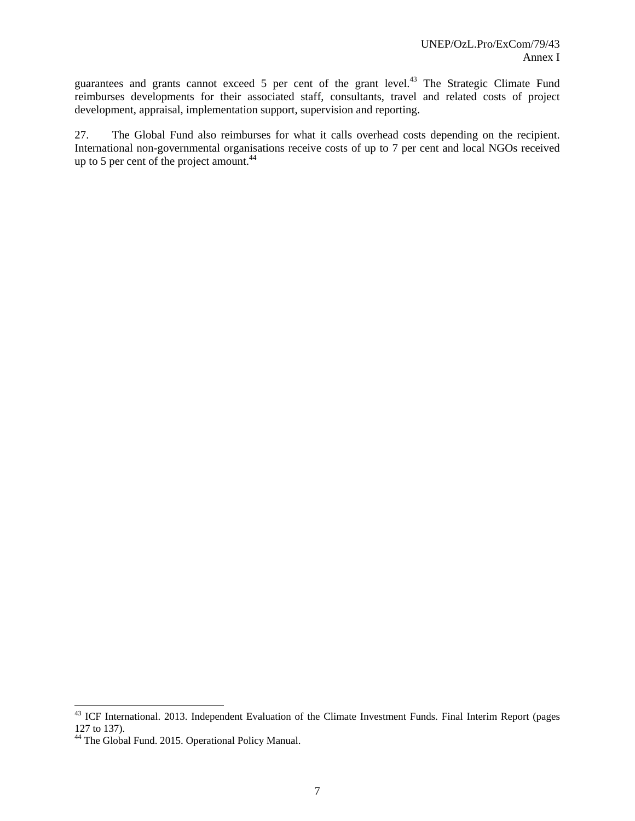guarantees and grants cannot exceed 5 per cent of the grant level.<sup>43</sup> The Strategic Climate Fund reimburses developments for their associated staff, consultants, travel and related costs of project development, appraisal, implementation support, supervision and reporting.

27. The Global Fund also reimburses for what it calls overhead costs depending on the recipient. International non-governmental organisations receive costs of up to 7 per cent and local NGOs received up to 5 per cent of the project amount.<sup>44</sup>

<sup>&</sup>lt;sup>43</sup> ICF International. 2013. Independent Evaluation of the Climate Investment Funds. Final Interim Report (pages 127 to 137).

<sup>&</sup>lt;sup>44</sup> The Global Fund. 2015. Operational Policy Manual.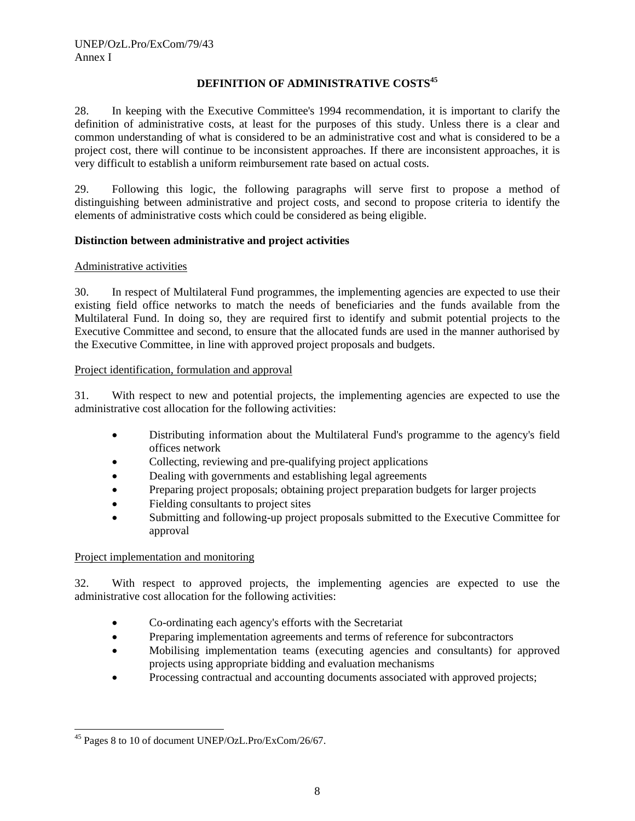## **DEFINITION OF ADMINISTRATIVE COSTS<sup>45</sup>**

28. In keeping with the Executive Committee's 1994 recommendation, it is important to clarify the definition of administrative costs, at least for the purposes of this study. Unless there is a clear and common understanding of what is considered to be an administrative cost and what is considered to be a project cost, there will continue to be inconsistent approaches. If there are inconsistent approaches, it is very difficult to establish a uniform reimbursement rate based on actual costs.

29. Following this logic, the following paragraphs will serve first to propose a method of distinguishing between administrative and project costs, and second to propose criteria to identify the elements of administrative costs which could be considered as being eligible.

## **Distinction between administrative and project activities**

## Administrative activities

30. In respect of Multilateral Fund programmes, the implementing agencies are expected to use their existing field office networks to match the needs of beneficiaries and the funds available from the Multilateral Fund. In doing so, they are required first to identify and submit potential projects to the Executive Committee and second, to ensure that the allocated funds are used in the manner authorised by the Executive Committee, in line with approved project proposals and budgets.

## Project identification, formulation and approval

31. With respect to new and potential projects, the implementing agencies are expected to use the administrative cost allocation for the following activities:

- Distributing information about the Multilateral Fund's programme to the agency's field offices network
- Collecting, reviewing and pre-qualifying project applications
- Dealing with governments and establishing legal agreements
- Preparing project proposals; obtaining project preparation budgets for larger projects
- Fielding consultants to project sites
- Submitting and following-up project proposals submitted to the Executive Committee for approval

## Project implementation and monitoring

32. With respect to approved projects, the implementing agencies are expected to use the administrative cost allocation for the following activities:

- Co-ordinating each agency's efforts with the Secretariat
- Preparing implementation agreements and terms of reference for subcontractors
- Mobilising implementation teams (executing agencies and consultants) for approved projects using appropriate bidding and evaluation mechanisms
- Processing contractual and accounting documents associated with approved projects;

<sup>1</sup> 45 Pages 8 to 10 of document UNEP/OzL.Pro/ExCom/26/67.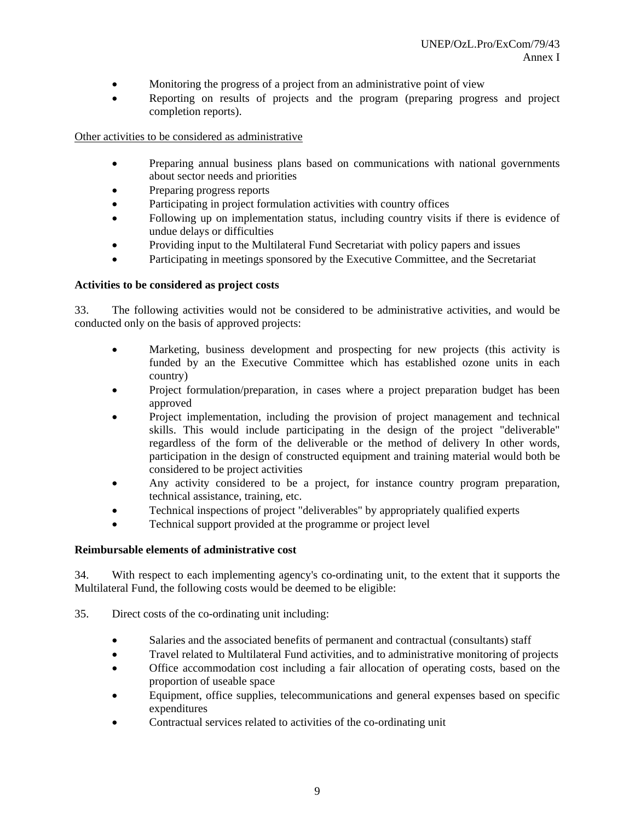- Monitoring the progress of a project from an administrative point of view
- Reporting on results of projects and the program (preparing progress and project completion reports).

Other activities to be considered as administrative

- Preparing annual business plans based on communications with national governments about sector needs and priorities
- Preparing progress reports
- Participating in project formulation activities with country offices
- Following up on implementation status, including country visits if there is evidence of undue delays or difficulties
- Providing input to the Multilateral Fund Secretariat with policy papers and issues
- Participating in meetings sponsored by the Executive Committee, and the Secretariat

#### **Activities to be considered as project costs**

33. The following activities would not be considered to be administrative activities, and would be conducted only on the basis of approved projects:

- Marketing, business development and prospecting for new projects (this activity is funded by an the Executive Committee which has established ozone units in each country)
- Project formulation/preparation, in cases where a project preparation budget has been approved
- Project implementation, including the provision of project management and technical skills. This would include participating in the design of the project "deliverable" regardless of the form of the deliverable or the method of delivery In other words, participation in the design of constructed equipment and training material would both be considered to be project activities
- Any activity considered to be a project, for instance country program preparation, technical assistance, training, etc.
- Technical inspections of project "deliverables" by appropriately qualified experts
- Technical support provided at the programme or project level

## **Reimbursable elements of administrative cost**

34. With respect to each implementing agency's co-ordinating unit, to the extent that it supports the Multilateral Fund, the following costs would be deemed to be eligible:

- 35. Direct costs of the co-ordinating unit including:
	- Salaries and the associated benefits of permanent and contractual (consultants) staff
	- Travel related to Multilateral Fund activities, and to administrative monitoring of projects
	- Office accommodation cost including a fair allocation of operating costs, based on the proportion of useable space
	- Equipment, office supplies, telecommunications and general expenses based on specific expenditures
	- Contractual services related to activities of the co-ordinating unit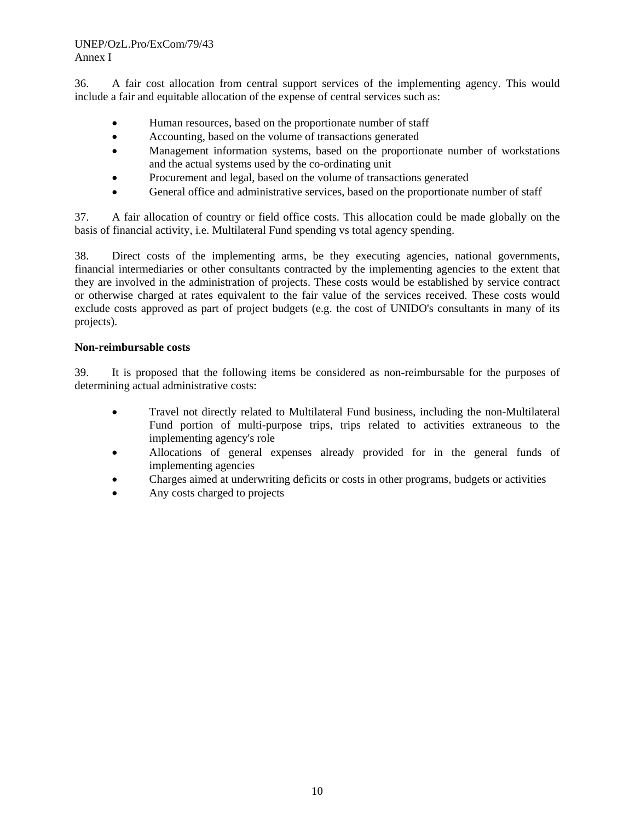36. A fair cost allocation from central support services of the implementing agency. This would include a fair and equitable allocation of the expense of central services such as:

- Human resources, based on the proportionate number of staff
- Accounting, based on the volume of transactions generated
- Management information systems, based on the proportionate number of workstations and the actual systems used by the co-ordinating unit
- Procurement and legal, based on the volume of transactions generated
- General office and administrative services, based on the proportionate number of staff

37. A fair allocation of country or field office costs. This allocation could be made globally on the basis of financial activity, i.e. Multilateral Fund spending vs total agency spending.

38. Direct costs of the implementing arms, be they executing agencies, national governments, financial intermediaries or other consultants contracted by the implementing agencies to the extent that they are involved in the administration of projects. These costs would be established by service contract or otherwise charged at rates equivalent to the fair value of the services received. These costs would exclude costs approved as part of project budgets (e.g. the cost of UNIDO's consultants in many of its projects).

#### **Non-reimbursable costs**

39. It is proposed that the following items be considered as non-reimbursable for the purposes of determining actual administrative costs:

- Travel not directly related to Multilateral Fund business, including the non-Multilateral Fund portion of multi-purpose trips, trips related to activities extraneous to the implementing agency's role
- Allocations of general expenses already provided for in the general funds of implementing agencies
- Charges aimed at underwriting deficits or costs in other programs, budgets or activities
- Any costs charged to projects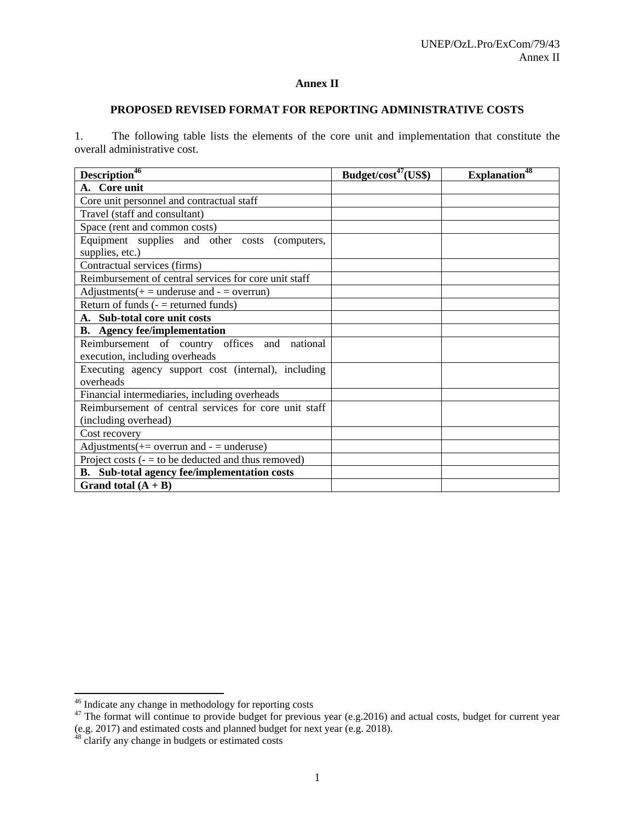## **Annex II**

## **PROPOSED REVISED FORMAT FOR REPORTING ADMINISTRATIVE COSTS**

1. The following table lists the elements of the core unit and implementation that constitute the overall administrative cost.

| Description <sup>46</sup>                                         | Budget/cost <sup>47</sup> (US\$) | Explanation <sup>48</sup> |
|-------------------------------------------------------------------|----------------------------------|---------------------------|
| A. Core unit                                                      |                                  |                           |
| Core unit personnel and contractual staff                         |                                  |                           |
| Travel (staff and consultant)                                     |                                  |                           |
| Space (rent and common costs)                                     |                                  |                           |
| Equipment supplies and other costs (computers,<br>supplies, etc.) |                                  |                           |
| Contractual services (firms)                                      |                                  |                           |
| Reimbursement of central services for core unit staff             |                                  |                           |
| Adjustments $(+)$ = underuse and $-$ = overrun)                   |                                  |                           |
| Return of funds $($ - $=$ returned funds)                         |                                  |                           |
| A. Sub-total core unit costs                                      |                                  |                           |
| <b>B.</b> Agency fee/implementation                               |                                  |                           |
| Reimbursement of country offices and national                     |                                  |                           |
| execution, including overheads                                    |                                  |                           |
| Executing agency support cost (internal), including<br>overheads  |                                  |                           |
| Financial intermediaries, including overheads                     |                                  |                           |
| Reimbursement of central services for core unit staff             |                                  |                           |
| (including overhead)                                              |                                  |                           |
| Cost recovery                                                     |                                  |                           |
| Adjustments $(+)$ = overrun and $-$ = underuse)                   |                                  |                           |
| Project costs $(-1)$ to be deducted and thus removed)             |                                  |                           |
| B. Sub-total agency fee/implementation costs                      |                                  |                           |
| Grand total $(A + B)$                                             |                                  |                           |

<sup>&</sup>lt;sup>46</sup> Indicate any change in methodology for reporting costs

<sup>&</sup>lt;sup>47</sup> The format will continue to provide budget for previous year (e.g.2016) and actual costs, budget for current year (e.g. 2017) and estimated costs and planned budget for next year (e.g. 2018).

<sup>&</sup>lt;sup>48</sup> clarify any change in budgets or estimated costs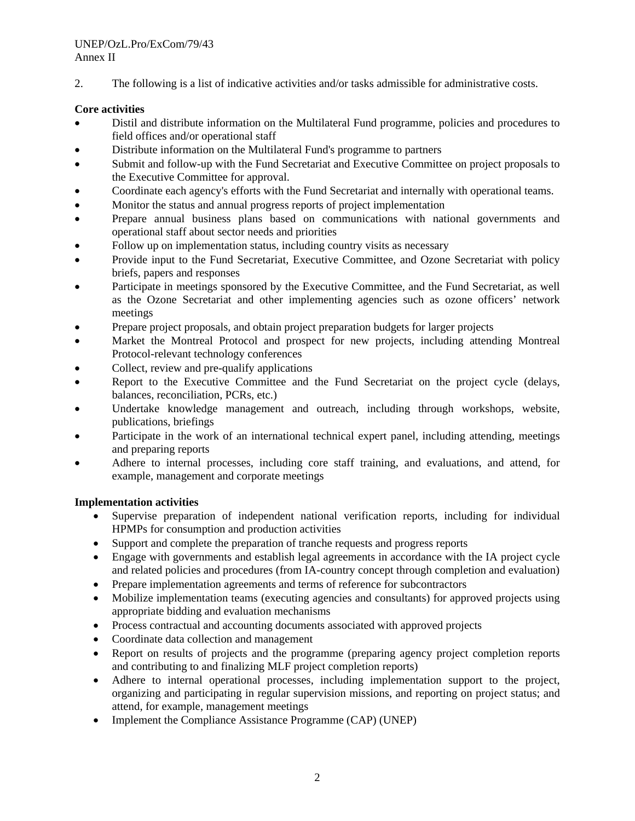2. The following is a list of indicative activities and/or tasks admissible for administrative costs.

## **Core activities**

- Distil and distribute information on the Multilateral Fund programme, policies and procedures to field offices and/or operational staff
- Distribute information on the Multilateral Fund's programme to partners
- Submit and follow-up with the Fund Secretariat and Executive Committee on project proposals to the Executive Committee for approval.
- Coordinate each agency's efforts with the Fund Secretariat and internally with operational teams.
- Monitor the status and annual progress reports of project implementation
- Prepare annual business plans based on communications with national governments and operational staff about sector needs and priorities
- Follow up on implementation status, including country visits as necessary
- Provide input to the Fund Secretariat, Executive Committee, and Ozone Secretariat with policy briefs, papers and responses
- Participate in meetings sponsored by the Executive Committee, and the Fund Secretariat, as well as the Ozone Secretariat and other implementing agencies such as ozone officers' network meetings
- Prepare project proposals, and obtain project preparation budgets for larger projects
- Market the Montreal Protocol and prospect for new projects, including attending Montreal Protocol-relevant technology conferences
- Collect, review and pre-qualify applications
- Report to the Executive Committee and the Fund Secretariat on the project cycle (delays, balances, reconciliation, PCRs, etc.)
- Undertake knowledge management and outreach, including through workshops, website, publications, briefings
- Participate in the work of an international technical expert panel, including attending, meetings and preparing reports
- Adhere to internal processes, including core staff training, and evaluations, and attend, for example, management and corporate meetings

## **Implementation activities**

- Supervise preparation of independent national verification reports, including for individual HPMPs for consumption and production activities
- Support and complete the preparation of tranche requests and progress reports
- Engage with governments and establish legal agreements in accordance with the IA project cycle and related policies and procedures (from IA-country concept through completion and evaluation)
- Prepare implementation agreements and terms of reference for subcontractors
- Mobilize implementation teams (executing agencies and consultants) for approved projects using appropriate bidding and evaluation mechanisms
- Process contractual and accounting documents associated with approved projects
- Coordinate data collection and management
- Report on results of projects and the programme (preparing agency project completion reports and contributing to and finalizing MLF project completion reports)
- Adhere to internal operational processes, including implementation support to the project, organizing and participating in regular supervision missions, and reporting on project status; and attend, for example, management meetings
- Implement the Compliance Assistance Programme (CAP) (UNEP)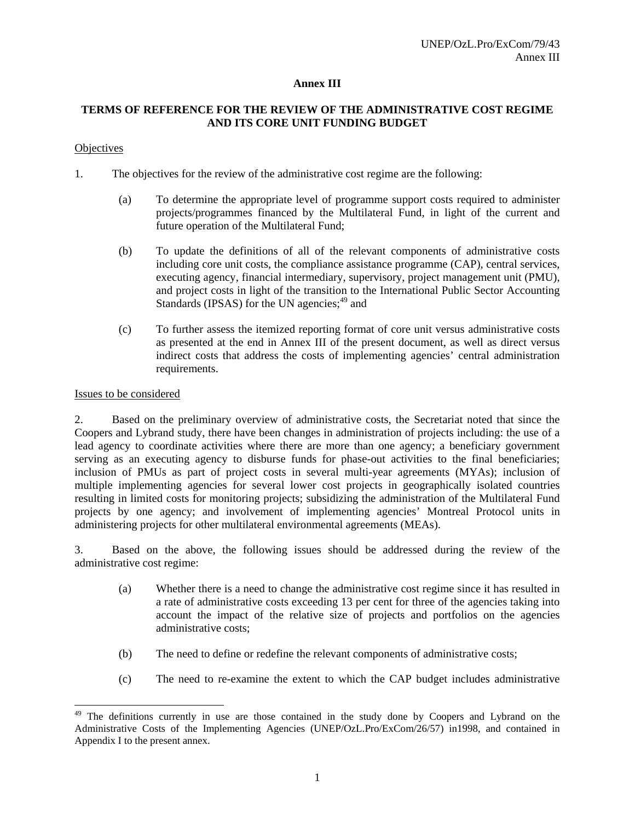## **Annex III**

## **TERMS OF REFERENCE FOR THE REVIEW OF THE ADMINISTRATIVE COST REGIME AND ITS CORE UNIT FUNDING BUDGET**

#### **Objectives**

- 1. The objectives for the review of the administrative cost regime are the following:
	- (a) To determine the appropriate level of programme support costs required to administer projects/programmes financed by the Multilateral Fund, in light of the current and future operation of the Multilateral Fund;
	- (b) To update the definitions of all of the relevant components of administrative costs including core unit costs, the compliance assistance programme (CAP), central services, executing agency, financial intermediary, supervisory, project management unit (PMU), and project costs in light of the transition to the International Public Sector Accounting Standards (IPSAS) for the UN agencies; $49$  and
	- (c) To further assess the itemized reporting format of core unit versus administrative costs as presented at the end in Annex III of the present document, as well as direct versus indirect costs that address the costs of implementing agencies' central administration requirements.

## Issues to be considered

1

2. Based on the preliminary overview of administrative costs, the Secretariat noted that since the Coopers and Lybrand study, there have been changes in administration of projects including: the use of a lead agency to coordinate activities where there are more than one agency; a beneficiary government serving as an executing agency to disburse funds for phase-out activities to the final beneficiaries; inclusion of PMUs as part of project costs in several multi-year agreements (MYAs); inclusion of multiple implementing agencies for several lower cost projects in geographically isolated countries resulting in limited costs for monitoring projects; subsidizing the administration of the Multilateral Fund projects by one agency; and involvement of implementing agencies' Montreal Protocol units in administering projects for other multilateral environmental agreements (MEAs).

3. Based on the above, the following issues should be addressed during the review of the administrative cost regime:

- (a) Whether there is a need to change the administrative cost regime since it has resulted in a rate of administrative costs exceeding 13 per cent for three of the agencies taking into account the impact of the relative size of projects and portfolios on the agencies administrative costs;
- (b) The need to define or redefine the relevant components of administrative costs;
- (c) The need to re-examine the extent to which the CAP budget includes administrative

<sup>&</sup>lt;sup>49</sup> The definitions currently in use are those contained in the study done by Coopers and Lybrand on the Administrative Costs of the Implementing Agencies (UNEP/OzL.Pro/ExCom/26/57) in1998, and contained in Appendix I to the present annex.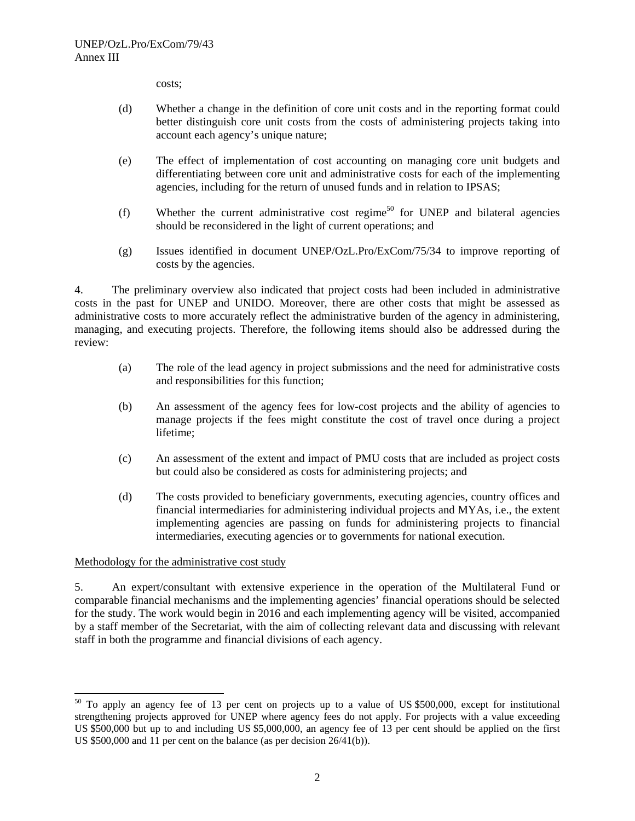costs;

- (d) Whether a change in the definition of core unit costs and in the reporting format could better distinguish core unit costs from the costs of administering projects taking into account each agency's unique nature;
- (e) The effect of implementation of cost accounting on managing core unit budgets and differentiating between core unit and administrative costs for each of the implementing agencies, including for the return of unused funds and in relation to IPSAS;
- (f) Whether the current administrative cost regime<sup>50</sup> for UNEP and bilateral agencies should be reconsidered in the light of current operations; and
- (g) Issues identified in document UNEP/OzL.Pro/ExCom/75/34 to improve reporting of costs by the agencies.

4. The preliminary overview also indicated that project costs had been included in administrative costs in the past for UNEP and UNIDO. Moreover, there are other costs that might be assessed as administrative costs to more accurately reflect the administrative burden of the agency in administering, managing, and executing projects. Therefore, the following items should also be addressed during the review:

- (a) The role of the lead agency in project submissions and the need for administrative costs and responsibilities for this function;
- (b) An assessment of the agency fees for low-cost projects and the ability of agencies to manage projects if the fees might constitute the cost of travel once during a project lifetime;
- (c) An assessment of the extent and impact of PMU costs that are included as project costs but could also be considered as costs for administering projects; and
- (d) The costs provided to beneficiary governments, executing agencies, country offices and financial intermediaries for administering individual projects and MYAs, i.e., the extent implementing agencies are passing on funds for administering projects to financial intermediaries, executing agencies or to governments for national execution.

## Methodology for the administrative cost study

1

5. An expert/consultant with extensive experience in the operation of the Multilateral Fund or comparable financial mechanisms and the implementing agencies' financial operations should be selected for the study. The work would begin in 2016 and each implementing agency will be visited, accompanied by a staff member of the Secretariat, with the aim of collecting relevant data and discussing with relevant staff in both the programme and financial divisions of each agency.

<sup>&</sup>lt;sup>50</sup> To apply an agency fee of 13 per cent on projects up to a value of US \$500,000, except for institutional strengthening projects approved for UNEP where agency fees do not apply. For projects with a value exceeding US \$500,000 but up to and including US \$5,000,000, an agency fee of 13 per cent should be applied on the first US \$500,000 and 11 per cent on the balance (as per decision 26/41(b)).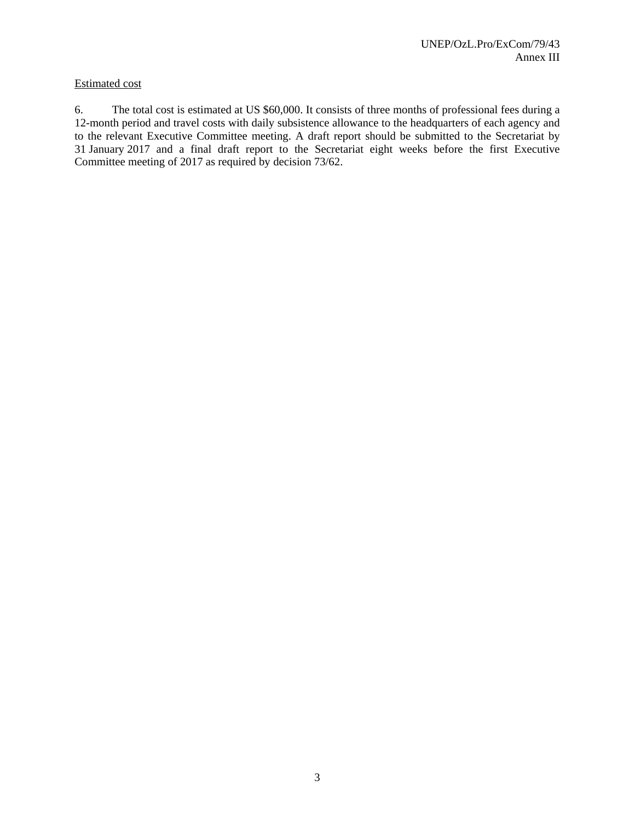#### Estimated cost

6. The total cost is estimated at US \$60,000. It consists of three months of professional fees during a 12-month period and travel costs with daily subsistence allowance to the headquarters of each agency and to the relevant Executive Committee meeting. A draft report should be submitted to the Secretariat by 31 January 2017 and a final draft report to the Secretariat eight weeks before the first Executive Committee meeting of 2017 as required by decision 73/62.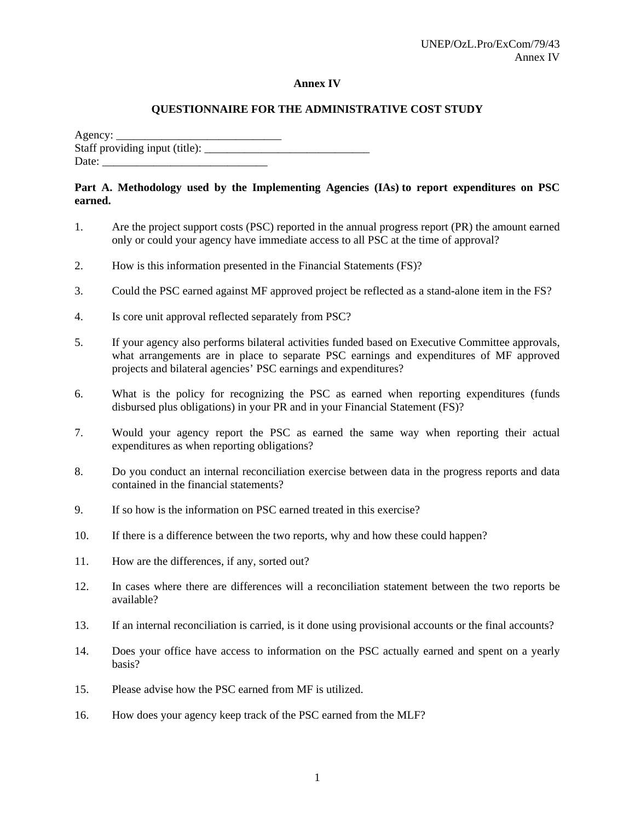#### **Annex IV**

## **QUESTIONNAIRE FOR THE ADMINISTRATIVE COST STUDY**

Agency:  $\Box$ Staff providing input (title): \_\_\_\_\_\_\_\_\_\_\_\_\_\_\_\_\_\_\_\_\_\_\_\_\_\_\_\_\_ Date:

## **Part A. Methodology used by the Implementing Agencies (IAs) to report expenditures on PSC earned.**

- 1. Are the project support costs (PSC) reported in the annual progress report (PR) the amount earned only or could your agency have immediate access to all PSC at the time of approval?
- 2. How is this information presented in the Financial Statements (FS)?
- 3. Could the PSC earned against MF approved project be reflected as a stand-alone item in the FS?
- 4. Is core unit approval reflected separately from PSC?
- 5. If your agency also performs bilateral activities funded based on Executive Committee approvals, what arrangements are in place to separate PSC earnings and expenditures of MF approved projects and bilateral agencies' PSC earnings and expenditures?
- 6. What is the policy for recognizing the PSC as earned when reporting expenditures (funds disbursed plus obligations) in your PR and in your Financial Statement (FS)?
- 7. Would your agency report the PSC as earned the same way when reporting their actual expenditures as when reporting obligations?
- 8. Do you conduct an internal reconciliation exercise between data in the progress reports and data contained in the financial statements?
- 9. If so how is the information on PSC earned treated in this exercise?
- 10. If there is a difference between the two reports, why and how these could happen?
- 11. How are the differences, if any, sorted out?
- 12. In cases where there are differences will a reconciliation statement between the two reports be available?
- 13. If an internal reconciliation is carried, is it done using provisional accounts or the final accounts?
- 14. Does your office have access to information on the PSC actually earned and spent on a yearly basis?
- 15. Please advise how the PSC earned from MF is utilized.
- 16. How does your agency keep track of the PSC earned from the MLF?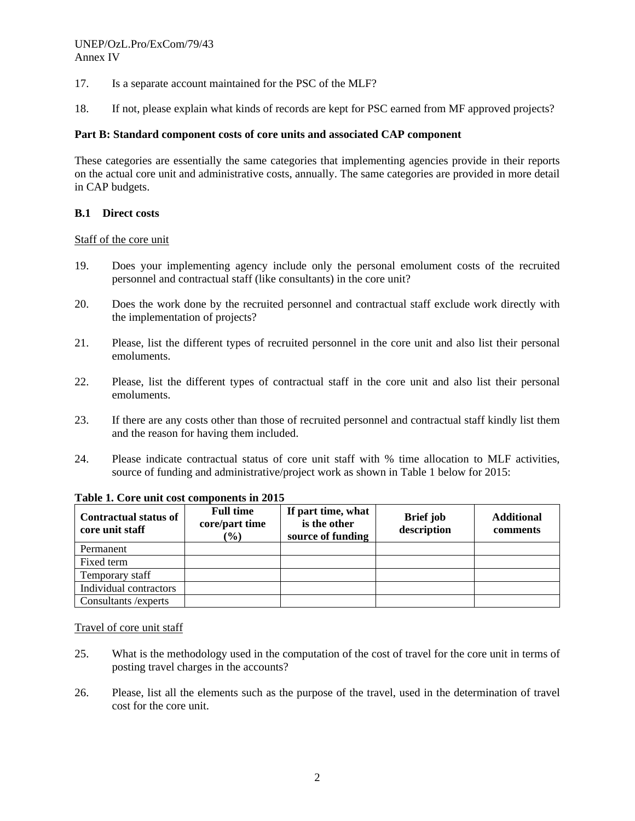- 17. Is a separate account maintained for the PSC of the MLF?
- 18. If not, please explain what kinds of records are kept for PSC earned from MF approved projects?

#### **Part B: Standard component costs of core units and associated CAP component**

These categories are essentially the same categories that implementing agencies provide in their reports on the actual core unit and administrative costs, annually. The same categories are provided in more detail in CAP budgets.

#### **B.1 Direct costs**

#### Staff of the core unit

- 19. Does your implementing agency include only the personal emolument costs of the recruited personnel and contractual staff (like consultants) in the core unit?
- 20. Does the work done by the recruited personnel and contractual staff exclude work directly with the implementation of projects?
- 21. Please, list the different types of recruited personnel in the core unit and also list their personal emoluments.
- 22. Please, list the different types of contractual staff in the core unit and also list their personal emoluments.
- 23. If there are any costs other than those of recruited personnel and contractual staff kindly list them and the reason for having them included.
- 24. Please indicate contractual status of core unit staff with % time allocation to MLF activities, source of funding and administrative/project work as shown in Table 1 below for 2015:

| <b>Contractual status of</b><br>core unit staff | <b>Full time</b><br>core/part time<br>$(\%)$ | If part time, what<br>is the other<br>source of funding | <b>Brief</b> job<br>description | <b>Additional</b><br>comments |
|-------------------------------------------------|----------------------------------------------|---------------------------------------------------------|---------------------------------|-------------------------------|
| Permanent                                       |                                              |                                                         |                                 |                               |
| Fixed term                                      |                                              |                                                         |                                 |                               |
| Temporary staff                                 |                                              |                                                         |                                 |                               |
| Individual contractors                          |                                              |                                                         |                                 |                               |
| Consultants / experts                           |                                              |                                                         |                                 |                               |

## **Table 1. Core unit cost components in 2015**

#### Travel of core unit staff

- 25. What is the methodology used in the computation of the cost of travel for the core unit in terms of posting travel charges in the accounts?
- 26. Please, list all the elements such as the purpose of the travel, used in the determination of travel cost for the core unit.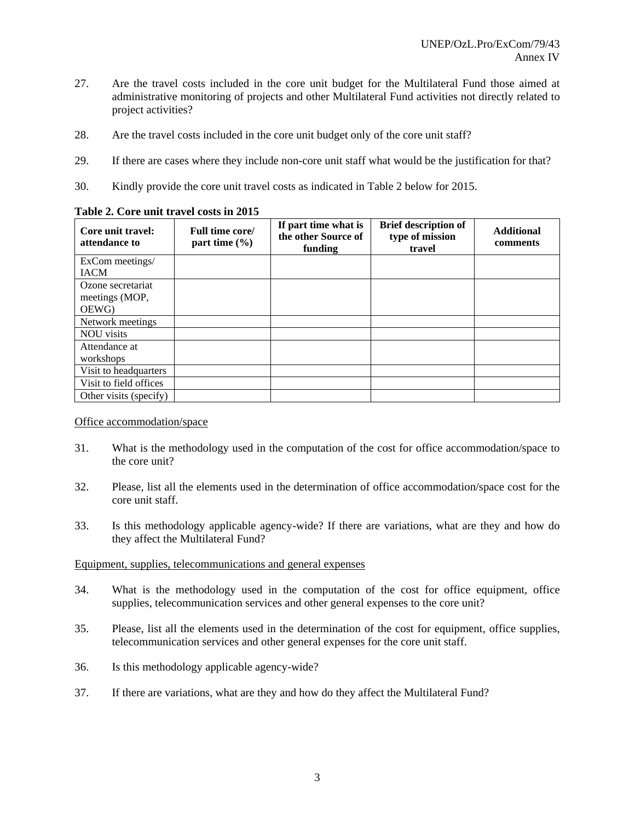- 27. Are the travel costs included in the core unit budget for the Multilateral Fund those aimed at administrative monitoring of projects and other Multilateral Fund activities not directly related to project activities?
- 28. Are the travel costs included in the core unit budget only of the core unit staff?
- 29. If there are cases where they include non-core unit staff what would be the justification for that?
- 30. Kindly provide the core unit travel costs as indicated in Table 2 below for 2015.

| Table 2. Core unit travel costs in 2015 |                                      |                                                        |                                                          |                               |
|-----------------------------------------|--------------------------------------|--------------------------------------------------------|----------------------------------------------------------|-------------------------------|
| Core unit travel:<br>attendance to      | Full time core/<br>part time $(\% )$ | If part time what is<br>the other Source of<br>funding | <b>Brief description of</b><br>type of mission<br>travel | <b>Additional</b><br>comments |
| ExCom meetings/                         |                                      |                                                        |                                                          |                               |
| <b>IACM</b>                             |                                      |                                                        |                                                          |                               |
| Ozone secretariat                       |                                      |                                                        |                                                          |                               |
| meetings (MOP,                          |                                      |                                                        |                                                          |                               |
| OEWG)                                   |                                      |                                                        |                                                          |                               |
| Network meetings                        |                                      |                                                        |                                                          |                               |
| <b>NOU</b> visits                       |                                      |                                                        |                                                          |                               |
| Attendance at                           |                                      |                                                        |                                                          |                               |
| workshops                               |                                      |                                                        |                                                          |                               |
| Visit to headquarters                   |                                      |                                                        |                                                          |                               |
| Visit to field offices                  |                                      |                                                        |                                                          |                               |
| Other visits (specify)                  |                                      |                                                        |                                                          |                               |

## **Table 2. Core unit travel costs in 2015**

Office accommodation/space

- 31. What is the methodology used in the computation of the cost for office accommodation/space to the core unit?
- 32. Please, list all the elements used in the determination of office accommodation/space cost for the core unit staff.
- 33. Is this methodology applicable agency-wide? If there are variations, what are they and how do they affect the Multilateral Fund?

## Equipment, supplies, telecommunications and general expenses

- 34. What is the methodology used in the computation of the cost for office equipment, office supplies, telecommunication services and other general expenses to the core unit?
- 35. Please, list all the elements used in the determination of the cost for equipment, office supplies, telecommunication services and other general expenses for the core unit staff.
- 36. Is this methodology applicable agency-wide?
- 37. If there are variations, what are they and how do they affect the Multilateral Fund?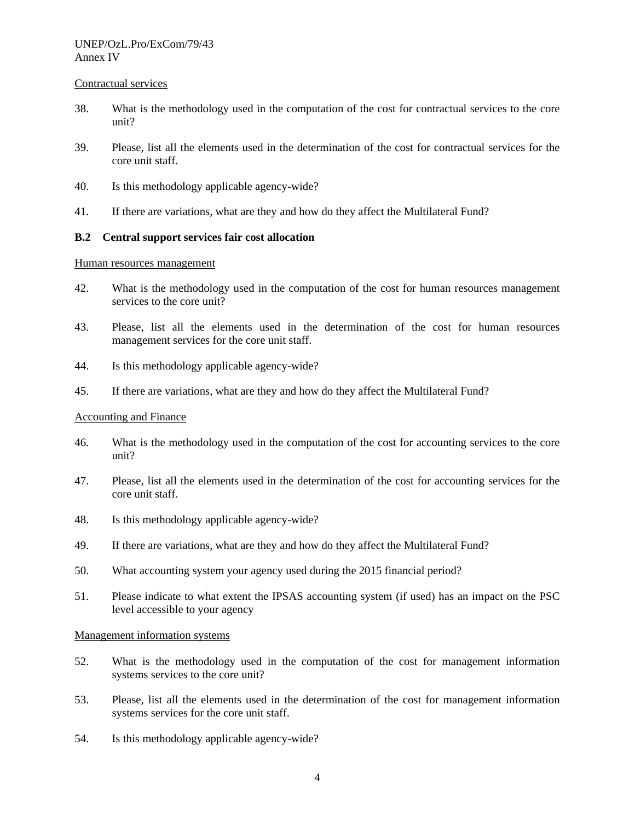#### Contractual services

- 38. What is the methodology used in the computation of the cost for contractual services to the core unit?
- 39. Please, list all the elements used in the determination of the cost for contractual services for the core unit staff.
- 40. Is this methodology applicable agency-wide?
- 41. If there are variations, what are they and how do they affect the Multilateral Fund?

#### **B.2 Central support services fair cost allocation**

Human resources management

- 42. What is the methodology used in the computation of the cost for human resources management services to the core unit?
- 43. Please, list all the elements used in the determination of the cost for human resources management services for the core unit staff.
- 44. Is this methodology applicable agency-wide?
- 45. If there are variations, what are they and how do they affect the Multilateral Fund?

#### Accounting and Finance

- 46. What is the methodology used in the computation of the cost for accounting services to the core unit?
- 47. Please, list all the elements used in the determination of the cost for accounting services for the core unit staff.
- 48. Is this methodology applicable agency-wide?
- 49. If there are variations, what are they and how do they affect the Multilateral Fund?
- 50. What accounting system your agency used during the 2015 financial period?
- 51. Please indicate to what extent the IPSAS accounting system (if used) has an impact on the PSC level accessible to your agency

#### Management information systems

- 52. What is the methodology used in the computation of the cost for management information systems services to the core unit?
- 53. Please, list all the elements used in the determination of the cost for management information systems services for the core unit staff.
- 54. Is this methodology applicable agency-wide?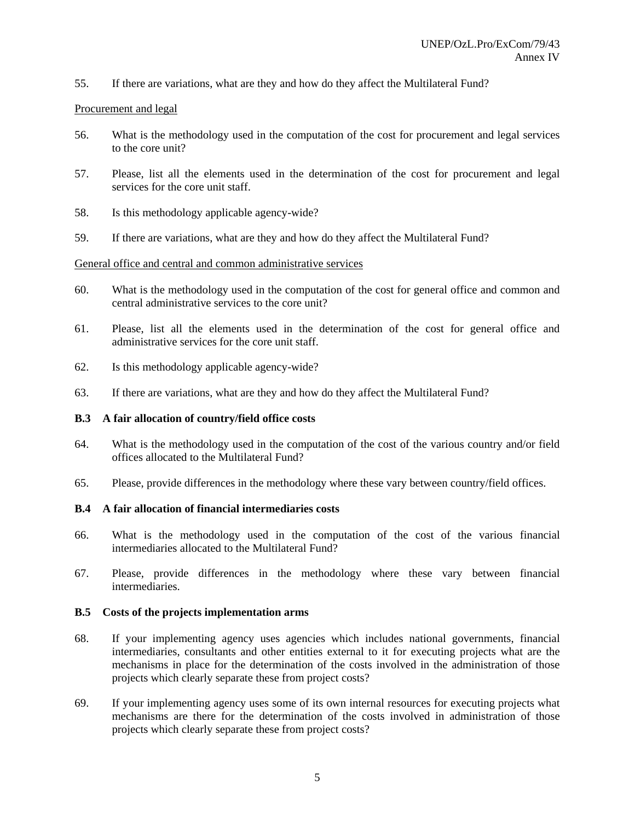55. If there are variations, what are they and how do they affect the Multilateral Fund?

#### Procurement and legal

- 56. What is the methodology used in the computation of the cost for procurement and legal services to the core unit?
- 57. Please, list all the elements used in the determination of the cost for procurement and legal services for the core unit staff.
- 58. Is this methodology applicable agency-wide?
- 59. If there are variations, what are they and how do they affect the Multilateral Fund?

#### General office and central and common administrative services

- 60. What is the methodology used in the computation of the cost for general office and common and central administrative services to the core unit?
- 61. Please, list all the elements used in the determination of the cost for general office and administrative services for the core unit staff.
- 62. Is this methodology applicable agency-wide?
- 63. If there are variations, what are they and how do they affect the Multilateral Fund?

#### **B.3 A fair allocation of country/field office costs**

- 64. What is the methodology used in the computation of the cost of the various country and/or field offices allocated to the Multilateral Fund?
- 65. Please, provide differences in the methodology where these vary between country/field offices.

## **B.4 A fair allocation of financial intermediaries costs**

- 66. What is the methodology used in the computation of the cost of the various financial intermediaries allocated to the Multilateral Fund?
- 67. Please, provide differences in the methodology where these vary between financial intermediaries.

#### **B.5 Costs of the projects implementation arms**

- 68. If your implementing agency uses agencies which includes national governments, financial intermediaries, consultants and other entities external to it for executing projects what are the mechanisms in place for the determination of the costs involved in the administration of those projects which clearly separate these from project costs?
- 69. If your implementing agency uses some of its own internal resources for executing projects what mechanisms are there for the determination of the costs involved in administration of those projects which clearly separate these from project costs?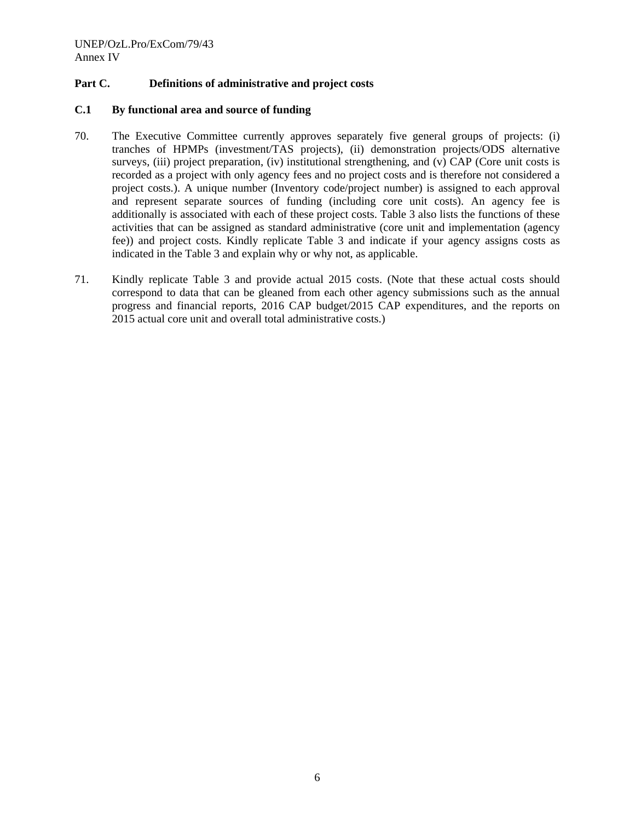## **Part C. Definitions of administrative and project costs**

#### **C.1 By functional area and source of funding**

- 70. The Executive Committee currently approves separately five general groups of projects: (i) tranches of HPMPs (investment/TAS projects), (ii) demonstration projects/ODS alternative surveys, (iii) project preparation, (iv) institutional strengthening, and (v) CAP (Core unit costs is recorded as a project with only agency fees and no project costs and is therefore not considered a project costs.). A unique number (Inventory code/project number) is assigned to each approval and represent separate sources of funding (including core unit costs). An agency fee is additionally is associated with each of these project costs. Table 3 also lists the functions of these activities that can be assigned as standard administrative (core unit and implementation (agency fee)) and project costs. Kindly replicate Table 3 and indicate if your agency assigns costs as indicated in the Table 3 and explain why or why not, as applicable.
- 71. Kindly replicate Table 3 and provide actual 2015 costs. (Note that these actual costs should correspond to data that can be gleaned from each other agency submissions such as the annual progress and financial reports, 2016 CAP budget/2015 CAP expenditures, and the reports on 2015 actual core unit and overall total administrative costs.)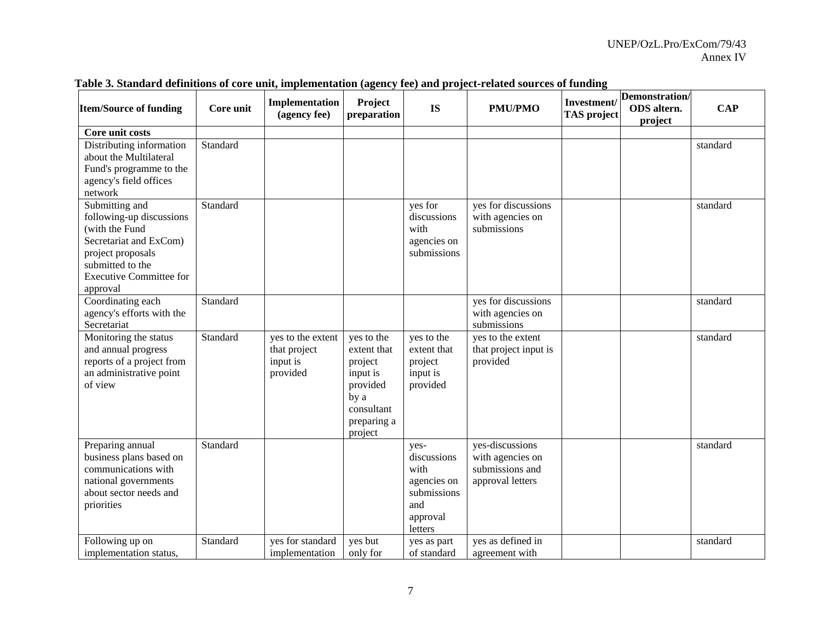| <b>Item/Source of funding</b>                                                                                                                                                 | Core unit | Implementation<br>(agency fee)                            | Project<br>preparation                                                                                       | <b>IS</b>                                                                               | <b>PMU/PMO</b>                                                             | Investment/<br><b>TAS</b> project | Demonstration/<br>ODS altern.<br>project | <b>CAP</b> |
|-------------------------------------------------------------------------------------------------------------------------------------------------------------------------------|-----------|-----------------------------------------------------------|--------------------------------------------------------------------------------------------------------------|-----------------------------------------------------------------------------------------|----------------------------------------------------------------------------|-----------------------------------|------------------------------------------|------------|
| Core unit costs                                                                                                                                                               |           |                                                           |                                                                                                              |                                                                                         |                                                                            |                                   |                                          |            |
| Distributing information<br>about the Multilateral<br>Fund's programme to the<br>agency's field offices<br>network                                                            | Standard  |                                                           |                                                                                                              |                                                                                         |                                                                            |                                   |                                          | standard   |
| Submitting and<br>following-up discussions<br>(with the Fund<br>Secretariat and ExCom)<br>project proposals<br>submitted to the<br><b>Executive Committee for</b><br>approval | Standard  |                                                           |                                                                                                              | yes for<br>discussions<br>with<br>agencies on<br>submissions                            | yes for discussions<br>with agencies on<br>submissions                     |                                   |                                          | standard   |
| Coordinating each<br>agency's efforts with the<br>Secretariat                                                                                                                 | Standard  |                                                           |                                                                                                              |                                                                                         | yes for discussions<br>with agencies on<br>submissions                     |                                   |                                          | standard   |
| Monitoring the status<br>and annual progress<br>reports of a project from<br>an administrative point<br>of view                                                               | Standard  | yes to the extent<br>that project<br>input is<br>provided | yes to the<br>extent that<br>project<br>input is<br>provided<br>by a<br>consultant<br>preparing a<br>project | yes to the<br>extent that<br>project<br>input is<br>provided                            | yes to the extent<br>that project input is<br>provided                     |                                   |                                          | standard   |
| Preparing annual<br>business plans based on<br>communications with<br>national governments<br>about sector needs and<br>priorities                                            | Standard  |                                                           |                                                                                                              | yes-<br>discussions<br>with<br>agencies on<br>submissions<br>and<br>approval<br>letters | yes-discussions<br>with agencies on<br>submissions and<br>approval letters |                                   |                                          | standard   |
| Following up on<br>implementation status,                                                                                                                                     | Standard  | yes for standard<br>implementation                        | yes but<br>only for                                                                                          | yes as part<br>of standard                                                              | yes as defined in<br>agreement with                                        |                                   |                                          | standard   |

## **Table 3. Standard definitions of core unit, implementation (agency fee) and project-related sources of funding**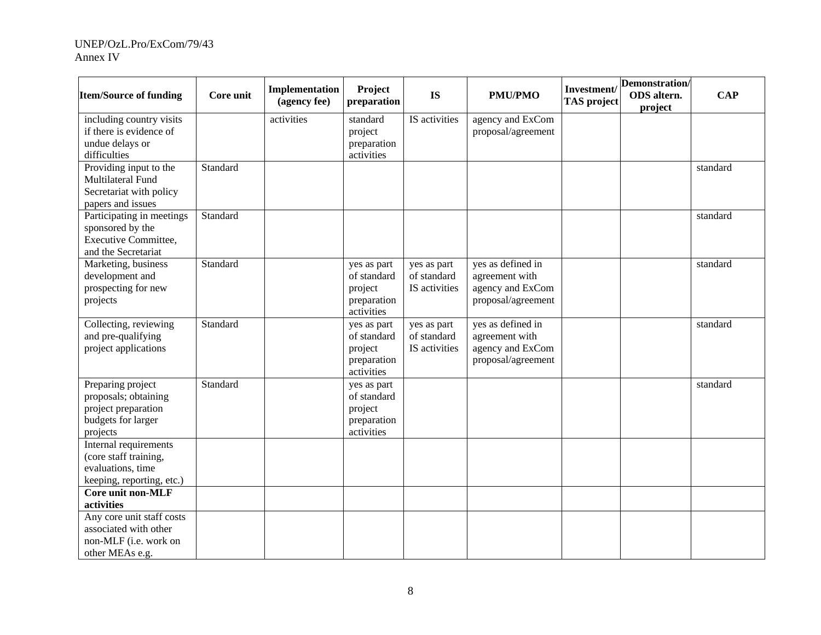| <b>Item/Source of funding</b>                                                                       | Core unit | Implementation<br>(agency fee) | Project<br>preparation                                             | <b>IS</b>                                   | <b>PMU/PMO</b>                                                                | Investment/<br><b>TAS</b> project | Demonstration/<br>ODS altern.<br>project | <b>CAP</b> |
|-----------------------------------------------------------------------------------------------------|-----------|--------------------------------|--------------------------------------------------------------------|---------------------------------------------|-------------------------------------------------------------------------------|-----------------------------------|------------------------------------------|------------|
| including country visits<br>if there is evidence of<br>undue delays or<br>difficulties              |           | activities                     | standard<br>project<br>preparation<br>activities                   | IS activities                               | agency and ExCom<br>proposal/agreement                                        |                                   |                                          |            |
| Providing input to the<br>Multilateral Fund<br>Secretariat with policy<br>papers and issues         | Standard  |                                |                                                                    |                                             |                                                                               |                                   |                                          | standard   |
| Participating in meetings<br>sponsored by the<br><b>Executive Committee,</b><br>and the Secretariat | Standard  |                                |                                                                    |                                             |                                                                               |                                   |                                          | standard   |
| Marketing, business<br>development and<br>prospecting for new<br>projects                           | Standard  |                                | yes as part<br>of standard<br>project<br>preparation<br>activities | yes as part<br>of standard<br>IS activities | yes as defined in<br>agreement with<br>agency and ExCom<br>proposal/agreement |                                   |                                          | standard   |
| Collecting, reviewing<br>and pre-qualifying<br>project applications                                 | Standard  |                                | yes as part<br>of standard<br>project<br>preparation<br>activities | yes as part<br>of standard<br>IS activities | yes as defined in<br>agreement with<br>agency and ExCom<br>proposal/agreement |                                   |                                          | standard   |
| Preparing project<br>proposals; obtaining<br>project preparation<br>budgets for larger<br>projects  | Standard  |                                | yes as part<br>of standard<br>project<br>preparation<br>activities |                                             |                                                                               |                                   |                                          | standard   |
| Internal requirements<br>(core staff training,<br>evaluations, time<br>keeping, reporting, etc.)    |           |                                |                                                                    |                                             |                                                                               |                                   |                                          |            |
| Core unit non-MLF<br>activities                                                                     |           |                                |                                                                    |                                             |                                                                               |                                   |                                          |            |
| Any core unit staff costs<br>associated with other<br>non-MLF (i.e. work on<br>other MEAs e.g.      |           |                                |                                                                    |                                             |                                                                               |                                   |                                          |            |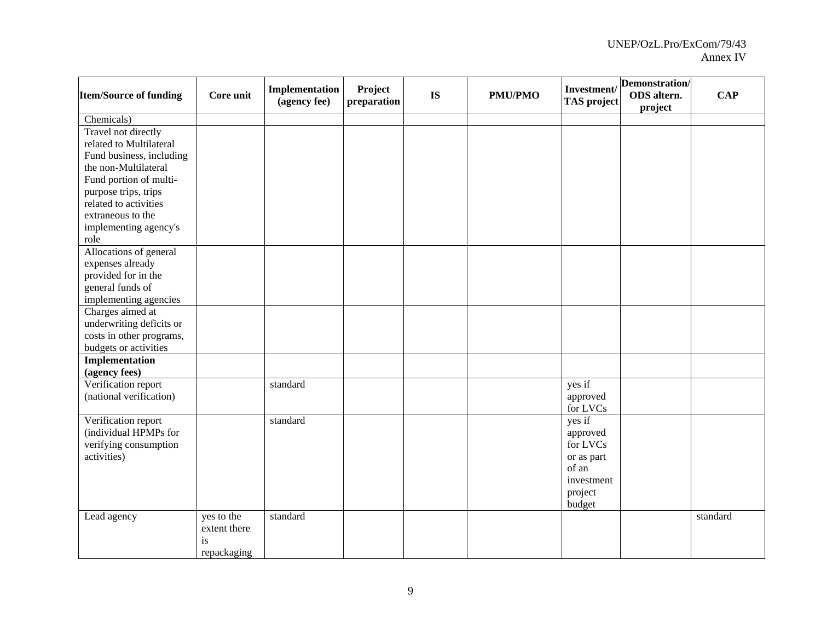| <b>Item/Source of funding</b>                        | Core unit    | Implementation<br>(agency fee) | Project<br>preparation | <b>IS</b> | <b>PMU/PMO</b> | Investment/<br><b>TAS</b> project | Demonstration/<br>ODS altern.<br>project | <b>CAP</b> |
|------------------------------------------------------|--------------|--------------------------------|------------------------|-----------|----------------|-----------------------------------|------------------------------------------|------------|
| Chemicals)                                           |              |                                |                        |           |                |                                   |                                          |            |
| Travel not directly                                  |              |                                |                        |           |                |                                   |                                          |            |
| related to Multilateral                              |              |                                |                        |           |                |                                   |                                          |            |
| Fund business, including                             |              |                                |                        |           |                |                                   |                                          |            |
| the non-Multilateral                                 |              |                                |                        |           |                |                                   |                                          |            |
| Fund portion of multi-                               |              |                                |                        |           |                |                                   |                                          |            |
| purpose trips, trips                                 |              |                                |                        |           |                |                                   |                                          |            |
| related to activities                                |              |                                |                        |           |                |                                   |                                          |            |
| extraneous to the                                    |              |                                |                        |           |                |                                   |                                          |            |
| implementing agency's                                |              |                                |                        |           |                |                                   |                                          |            |
| role                                                 |              |                                |                        |           |                |                                   |                                          |            |
| Allocations of general                               |              |                                |                        |           |                |                                   |                                          |            |
| expenses already                                     |              |                                |                        |           |                |                                   |                                          |            |
| provided for in the                                  |              |                                |                        |           |                |                                   |                                          |            |
| general funds of                                     |              |                                |                        |           |                |                                   |                                          |            |
| implementing agencies<br>Charges aimed at            |              |                                |                        |           |                |                                   |                                          |            |
|                                                      |              |                                |                        |           |                |                                   |                                          |            |
| underwriting deficits or<br>costs in other programs, |              |                                |                        |           |                |                                   |                                          |            |
| budgets or activities                                |              |                                |                        |           |                |                                   |                                          |            |
| <b>Implementation</b>                                |              |                                |                        |           |                |                                   |                                          |            |
| (agency fees)                                        |              |                                |                        |           |                |                                   |                                          |            |
| Verification report                                  |              | standard                       |                        |           |                | yes if                            |                                          |            |
| (national verification)                              |              |                                |                        |           |                | approved                          |                                          |            |
|                                                      |              |                                |                        |           |                | for LVCs                          |                                          |            |
| Verification report                                  |              | standard                       |                        |           |                | yes if                            |                                          |            |
| (individual HPMPs for                                |              |                                |                        |           |                | approved                          |                                          |            |
| verifying consumption                                |              |                                |                        |           |                | for LVCs                          |                                          |            |
| activities)                                          |              |                                |                        |           |                | or as part                        |                                          |            |
|                                                      |              |                                |                        |           |                | of an                             |                                          |            |
|                                                      |              |                                |                        |           |                | investment                        |                                          |            |
|                                                      |              |                                |                        |           |                | project                           |                                          |            |
|                                                      |              |                                |                        |           |                | budget                            |                                          |            |
| Lead agency                                          | yes to the   | standard                       |                        |           |                |                                   |                                          | standard   |
|                                                      | extent there |                                |                        |           |                |                                   |                                          |            |
|                                                      | is           |                                |                        |           |                |                                   |                                          |            |
|                                                      | repackaging  |                                |                        |           |                |                                   |                                          |            |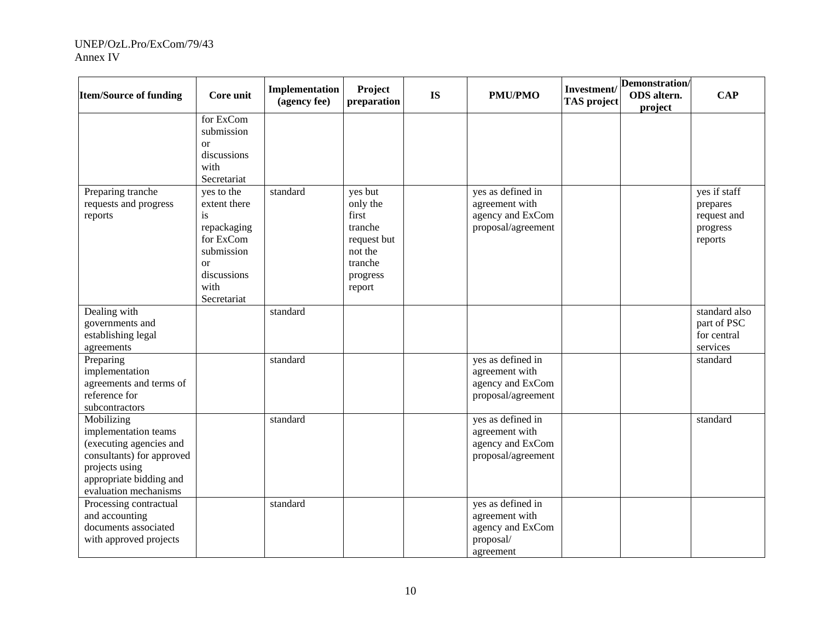| <b>Item/Source of funding</b>                                                                                                                                    | Core unit                                                                                                                         | Implementation<br>(agency fee) | Project<br>preparation                                                                             | <b>IS</b> | <b>PMU/PMO</b>                                                                    | Investment/<br><b>TAS</b> project | Demonstration/<br>ODS altern.<br>project | <b>CAP</b>                                                     |
|------------------------------------------------------------------------------------------------------------------------------------------------------------------|-----------------------------------------------------------------------------------------------------------------------------------|--------------------------------|----------------------------------------------------------------------------------------------------|-----------|-----------------------------------------------------------------------------------|-----------------------------------|------------------------------------------|----------------------------------------------------------------|
|                                                                                                                                                                  | for ExCom<br>submission<br>or<br>discussions<br>with<br>Secretariat                                                               |                                |                                                                                                    |           |                                                                                   |                                   |                                          |                                                                |
| Preparing tranche<br>requests and progress<br>reports                                                                                                            | yes to the<br>extent there<br>is<br>repackaging<br>for ExCom<br>submission<br><sub>or</sub><br>discussions<br>with<br>Secretariat | standard                       | yes but<br>only the<br>first<br>tranche<br>request but<br>not the<br>tranche<br>progress<br>report |           | yes as defined in<br>agreement with<br>agency and ExCom<br>proposal/agreement     |                                   |                                          | yes if staff<br>prepares<br>request and<br>progress<br>reports |
| Dealing with<br>governments and<br>establishing legal<br>agreements                                                                                              |                                                                                                                                   | standard                       |                                                                                                    |           |                                                                                   |                                   |                                          | standard also<br>part of PSC<br>for central<br>services        |
| Preparing<br>implementation<br>agreements and terms of<br>reference for<br>subcontractors                                                                        |                                                                                                                                   | standard                       |                                                                                                    |           | yes as defined in<br>agreement with<br>agency and ExCom<br>proposal/agreement     |                                   |                                          | standard                                                       |
| Mobilizing<br>implementation teams<br>(executing agencies and<br>consultants) for approved<br>projects using<br>appropriate bidding and<br>evaluation mechanisms |                                                                                                                                   | standard                       |                                                                                                    |           | yes as defined in<br>agreement with<br>agency and ExCom<br>proposal/agreement     |                                   |                                          | standard                                                       |
| Processing contractual<br>and accounting<br>documents associated<br>with approved projects                                                                       |                                                                                                                                   | standard                       |                                                                                                    |           | yes as defined in<br>agreement with<br>agency and ExCom<br>proposal/<br>agreement |                                   |                                          |                                                                |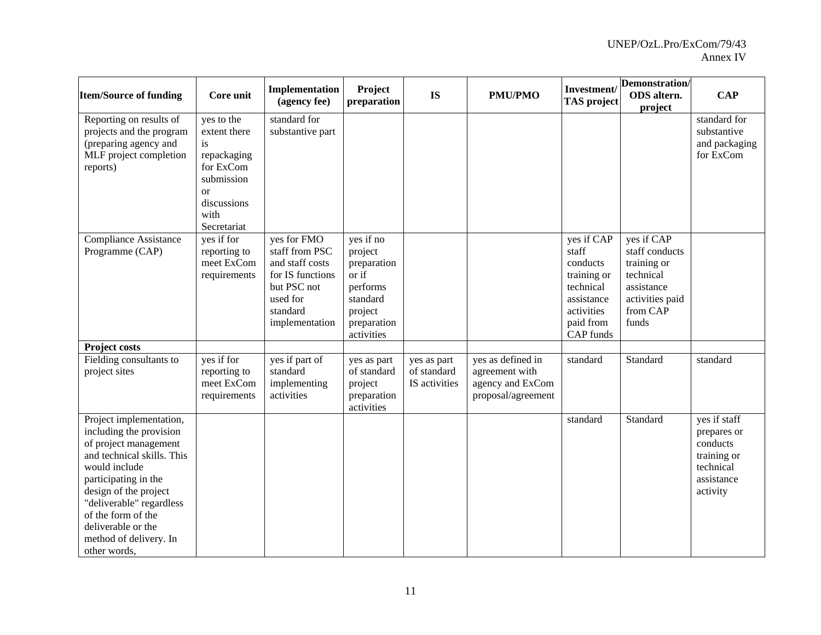| <b>Item/Source of funding</b>                                                                                                                                                                                                                                                                 | Core unit                                                                                                                     | Implementation<br>(agency fee)                                                                                                | Project<br>preparation                                                                                       | <b>IS</b>                                   | <b>PMU/PMO</b>                                                                | Investment/<br><b>TAS</b> project                                                                                 | Demonstration/<br>ODS altern.<br>project                                                                       | <b>CAP</b>                                                                                    |
|-----------------------------------------------------------------------------------------------------------------------------------------------------------------------------------------------------------------------------------------------------------------------------------------------|-------------------------------------------------------------------------------------------------------------------------------|-------------------------------------------------------------------------------------------------------------------------------|--------------------------------------------------------------------------------------------------------------|---------------------------------------------|-------------------------------------------------------------------------------|-------------------------------------------------------------------------------------------------------------------|----------------------------------------------------------------------------------------------------------------|-----------------------------------------------------------------------------------------------|
| Reporting on results of<br>projects and the program<br>(preparing agency and<br>MLF project completion<br>reports)                                                                                                                                                                            | yes to the<br>extent there<br>is<br>repackaging<br>for ExCom<br>submission<br><b>or</b><br>discussions<br>with<br>Secretariat | standard for<br>substantive part                                                                                              |                                                                                                              |                                             |                                                                               |                                                                                                                   |                                                                                                                | standard for<br>substantive<br>and packaging<br>for ExCom                                     |
| <b>Compliance Assistance</b><br>Programme (CAP)                                                                                                                                                                                                                                               | yes if for<br>reporting to<br>meet ExCom<br>requirements                                                                      | yes for FMO<br>staff from PSC<br>and staff costs<br>for IS functions<br>but PSC not<br>used for<br>standard<br>implementation | yes if no<br>project<br>preparation<br>or if<br>performs<br>standard<br>project<br>preparation<br>activities |                                             |                                                                               | yes if CAP<br>staff<br>conducts<br>training or<br>technical<br>assistance<br>activities<br>paid from<br>CAP funds | yes if CAP<br>staff conducts<br>training or<br>technical<br>assistance<br>activities paid<br>from CAP<br>funds |                                                                                               |
| <b>Project costs</b><br>Fielding consultants to<br>project sites                                                                                                                                                                                                                              | yes if for<br>reporting to<br>meet ExCom<br>requirements                                                                      | yes if part of<br>standard<br>implementing<br>activities                                                                      | yes as part<br>of standard<br>project<br>preparation<br>activities                                           | yes as part<br>of standard<br>IS activities | yes as defined in<br>agreement with<br>agency and ExCom<br>proposal/agreement | standard                                                                                                          | Standard                                                                                                       | standard                                                                                      |
| Project implementation,<br>including the provision<br>of project management<br>and technical skills. This<br>would include<br>participating in the<br>design of the project<br>"deliverable" regardless<br>of the form of the<br>deliverable or the<br>method of delivery. In<br>other words, |                                                                                                                               |                                                                                                                               |                                                                                                              |                                             |                                                                               | standard                                                                                                          | Standard                                                                                                       | yes if staff<br>prepares or<br>conducts<br>training or<br>technical<br>assistance<br>activity |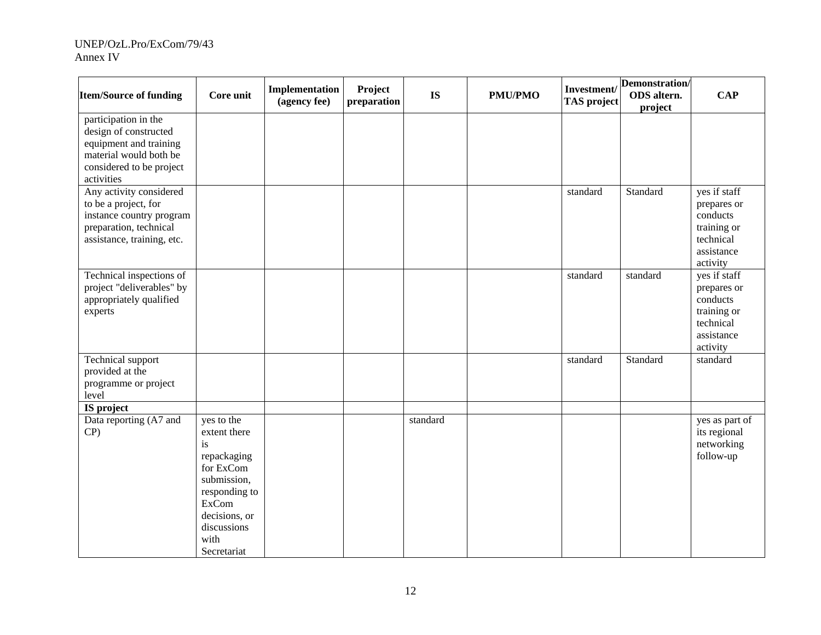| <b>Item/Source of funding</b>                                                                                                               | Core unit                                                                                                                                                           | Implementation<br>(agency fee) | Project<br>preparation | <b>IS</b> | <b>PMU/PMO</b> | Investment/<br><b>TAS</b> project | Demonstration/<br>ODS altern.<br>project | <b>CAP</b>                                                                                    |
|---------------------------------------------------------------------------------------------------------------------------------------------|---------------------------------------------------------------------------------------------------------------------------------------------------------------------|--------------------------------|------------------------|-----------|----------------|-----------------------------------|------------------------------------------|-----------------------------------------------------------------------------------------------|
| participation in the<br>design of constructed<br>equipment and training<br>material would both be<br>considered to be project<br>activities |                                                                                                                                                                     |                                |                        |           |                |                                   |                                          |                                                                                               |
| Any activity considered<br>to be a project, for<br>instance country program<br>preparation, technical<br>assistance, training, etc.         |                                                                                                                                                                     |                                |                        |           |                | standard                          | Standard                                 | yes if staff<br>prepares or<br>conducts<br>training or<br>technical<br>assistance<br>activity |
| Technical inspections of<br>project "deliverables" by<br>appropriately qualified<br>experts                                                 |                                                                                                                                                                     |                                |                        |           |                | standard                          | standard                                 | yes if staff<br>prepares or<br>conducts<br>training or<br>technical<br>assistance<br>activity |
| Technical support<br>provided at the<br>programme or project<br>level                                                                       |                                                                                                                                                                     |                                |                        |           |                | standard                          | Standard                                 | standard                                                                                      |
| IS project<br>Data reporting (A7 and<br>$CP$ )                                                                                              | yes to the<br>extent there<br>is<br>repackaging<br>for ExCom<br>submission,<br>responding to<br><b>ExCom</b><br>decisions, or<br>discussions<br>with<br>Secretariat |                                |                        | standard  |                |                                   |                                          | yes as part of<br>its regional<br>networking<br>follow-up                                     |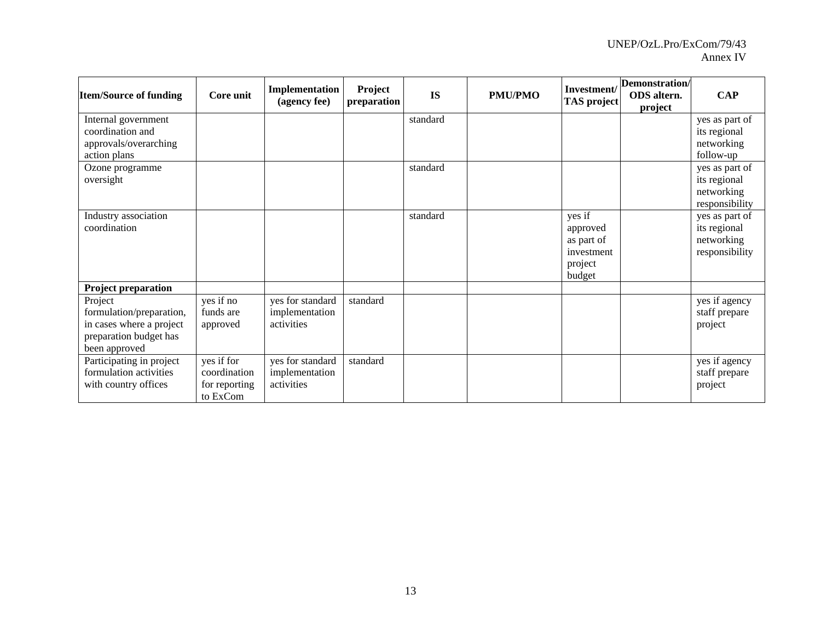| <b>Item/Source of funding</b>                                                                              | Core unit                                               | Implementation<br>(agency fee)                   | Project<br>preparation | <b>IS</b> | <b>PMU/PMO</b> | Investment/<br><b>TAS</b> project                                   | Demonstration/<br>ODS altern.<br>project | <b>CAP</b>                                                     |
|------------------------------------------------------------------------------------------------------------|---------------------------------------------------------|--------------------------------------------------|------------------------|-----------|----------------|---------------------------------------------------------------------|------------------------------------------|----------------------------------------------------------------|
| Internal government<br>coordination and<br>approvals/overarching                                           |                                                         |                                                  |                        | standard  |                |                                                                     |                                          | yes as part of<br>its regional<br>networking                   |
| action plans                                                                                               |                                                         |                                                  |                        |           |                |                                                                     |                                          | follow-up                                                      |
| Ozone programme<br>oversight                                                                               |                                                         |                                                  |                        | standard  |                |                                                                     |                                          | yes as part of<br>its regional<br>networking<br>responsibility |
| Industry association<br>coordination                                                                       |                                                         |                                                  |                        | standard  |                | yes if<br>approved<br>as part of<br>investment<br>project<br>budget |                                          | yes as part of<br>its regional<br>networking<br>responsibility |
| <b>Project preparation</b>                                                                                 |                                                         |                                                  |                        |           |                |                                                                     |                                          |                                                                |
| Project<br>formulation/preparation,<br>in cases where a project<br>preparation budget has<br>been approved | yes if no<br>funds are<br>approved                      | yes for standard<br>implementation<br>activities | standard               |           |                |                                                                     |                                          | yes if agency<br>staff prepare<br>project                      |
| Participating in project<br>formulation activities<br>with country offices                                 | yes if for<br>coordination<br>for reporting<br>to ExCom | yes for standard<br>implementation<br>activities | standard               |           |                |                                                                     |                                          | yes if agency<br>staff prepare<br>project                      |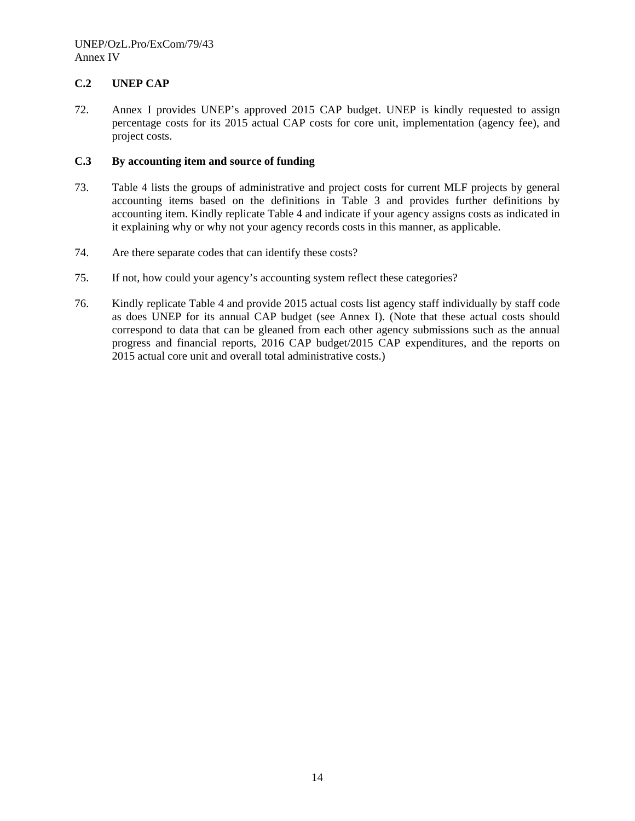## **C.2 UNEP CAP**

72. Annex I provides UNEP's approved 2015 CAP budget. UNEP is kindly requested to assign percentage costs for its 2015 actual CAP costs for core unit, implementation (agency fee), and project costs.

## **C.3 By accounting item and source of funding**

- 73. Table 4 lists the groups of administrative and project costs for current MLF projects by general accounting items based on the definitions in Table 3 and provides further definitions by accounting item. Kindly replicate Table 4 and indicate if your agency assigns costs as indicated in it explaining why or why not your agency records costs in this manner, as applicable.
- 74. Are there separate codes that can identify these costs?
- 75. If not, how could your agency's accounting system reflect these categories?
- 76. Kindly replicate Table 4 and provide 2015 actual costs list agency staff individually by staff code as does UNEP for its annual CAP budget (see Annex I). (Note that these actual costs should correspond to data that can be gleaned from each other agency submissions such as the annual progress and financial reports, 2016 CAP budget/2015 CAP expenditures, and the reports on 2015 actual core unit and overall total administrative costs.)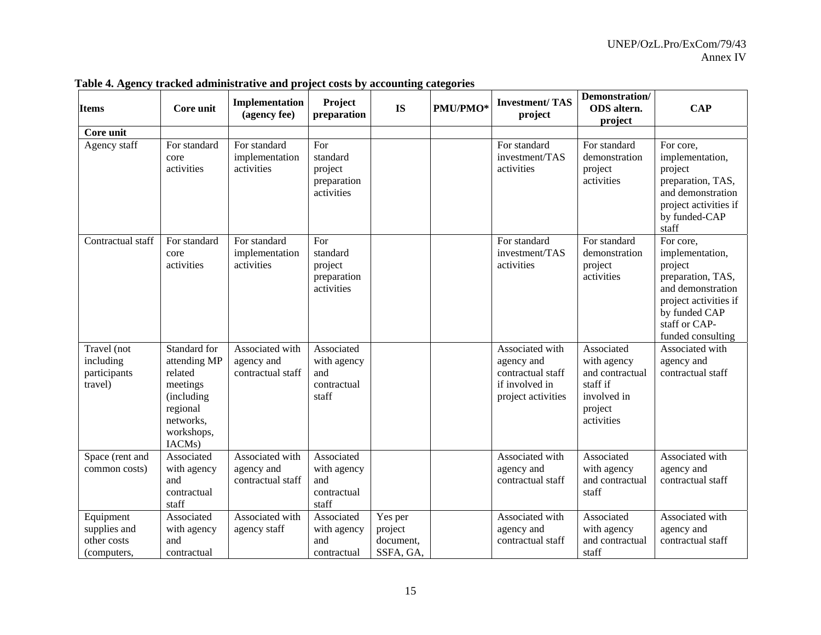| <b>Items</b>                                            | Core unit                                                                                                          | Implementation<br>(agency fee)                     | Project<br>preparation                                   | <b>IS</b>                                    | PMU/PMO* | <b>Investment/TAS</b><br>project                                                           | Demonstration/<br>ODS altern.<br>project                                                         | <b>CAP</b>                                                                                                                                                        |
|---------------------------------------------------------|--------------------------------------------------------------------------------------------------------------------|----------------------------------------------------|----------------------------------------------------------|----------------------------------------------|----------|--------------------------------------------------------------------------------------------|--------------------------------------------------------------------------------------------------|-------------------------------------------------------------------------------------------------------------------------------------------------------------------|
| Core unit                                               |                                                                                                                    |                                                    |                                                          |                                              |          |                                                                                            |                                                                                                  |                                                                                                                                                                   |
| Agency staff                                            | For standard<br>core<br>activities                                                                                 | For standard<br>implementation<br>activities       | For<br>standard<br>project<br>preparation<br>activities  |                                              |          | For standard<br>investment/TAS<br>activities                                               | For standard<br>demonstration<br>project<br>activities                                           | For core,<br>implementation,<br>project<br>preparation, TAS,<br>and demonstration<br>project activities if<br>by funded-CAP<br>staff                              |
| Contractual staff                                       | For standard<br>core<br>activities                                                                                 | For standard<br>implementation<br>activities       | For<br>standard<br>project<br>preparation<br>activities  |                                              |          | For standard<br>investment/TAS<br>activities                                               | For standard<br>demonstration<br>project<br>activities                                           | For core,<br>implementation,<br>project<br>preparation, TAS,<br>and demonstration<br>project activities if<br>by funded CAP<br>staff or CAP-<br>funded consulting |
| Travel (not<br>including<br>participants<br>travel)     | Standard for<br>attending MP<br>related<br>meetings<br>(including<br>regional<br>networks,<br>workshops,<br>IACMs) | Associated with<br>agency and<br>contractual staff | Associated<br>with agency<br>and<br>contractual<br>staff |                                              |          | Associated with<br>agency and<br>contractual staff<br>if involved in<br>project activities | Associated<br>with agency<br>and contractual<br>staff if<br>involved in<br>project<br>activities | Associated with<br>agency and<br>contractual staff                                                                                                                |
| Space (rent and<br>common costs)                        | Associated<br>with agency<br>and<br>contractual<br>staff                                                           | Associated with<br>agency and<br>contractual staff | Associated<br>with agency<br>and<br>contractual<br>staff |                                              |          | Associated with<br>agency and<br>contractual staff                                         | Associated<br>with agency<br>and contractual<br>staff                                            | Associated with<br>agency and<br>contractual staff                                                                                                                |
| Equipment<br>supplies and<br>other costs<br>(computers, | Associated<br>with agency<br>and<br>contractual                                                                    | Associated with<br>agency staff                    | Associated<br>with agency<br>and<br>contractual          | Yes per<br>project<br>document,<br>SSFA, GA, |          | Associated with<br>agency and<br>contractual staff                                         | Associated<br>with agency<br>and contractual<br>staff                                            | Associated with<br>agency and<br>contractual staff                                                                                                                |

**Table 4. Agency tracked administrative and project costs by accounting categories**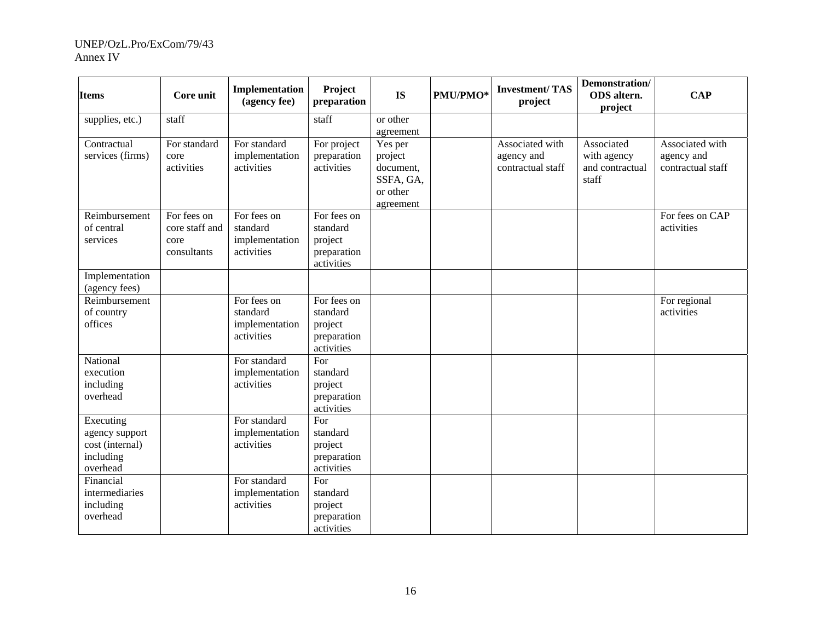| <b>Items</b>                                                            | Core unit                                            | Implementation<br>(agency fee)                          | Project<br>preparation                                          | <b>IS</b>                                                             | PMU/PMO* | <b>Investment/TAS</b><br>project                   | Demonstration/<br>ODS altern.<br>project              | <b>CAP</b>                                         |
|-------------------------------------------------------------------------|------------------------------------------------------|---------------------------------------------------------|-----------------------------------------------------------------|-----------------------------------------------------------------------|----------|----------------------------------------------------|-------------------------------------------------------|----------------------------------------------------|
| supplies, etc.)                                                         | staff                                                |                                                         | staff                                                           | or other<br>agreement                                                 |          |                                                    |                                                       |                                                    |
| Contractual<br>services (firms)                                         | For standard<br>core<br>activities                   | For standard<br>implementation<br>activities            | For project<br>preparation<br>activities                        | Yes per<br>project<br>document,<br>SSFA, GA,<br>or other<br>agreement |          | Associated with<br>agency and<br>contractual staff | Associated<br>with agency<br>and contractual<br>staff | Associated with<br>agency and<br>contractual staff |
| Reimbursement<br>of central<br>services                                 | For fees on<br>core staff and<br>core<br>consultants | For fees on<br>standard<br>implementation<br>activities | For fees on<br>standard<br>project<br>preparation<br>activities |                                                                       |          |                                                    |                                                       | For fees on CAP<br>activities                      |
| Implementation<br>(agency fees)                                         |                                                      |                                                         |                                                                 |                                                                       |          |                                                    |                                                       |                                                    |
| Reimbursement<br>of country<br>offices                                  |                                                      | For fees on<br>standard<br>implementation<br>activities | For fees on<br>standard<br>project<br>preparation<br>activities |                                                                       |          |                                                    |                                                       | For regional<br>activities                         |
| National<br>execution<br>including<br>overhead                          |                                                      | For standard<br>implementation<br>activities            | For<br>standard<br>project<br>preparation<br>activities         |                                                                       |          |                                                    |                                                       |                                                    |
| Executing<br>agency support<br>cost (internal)<br>including<br>overhead |                                                      | For standard<br>implementation<br>activities            | For<br>standard<br>project<br>preparation<br>activities         |                                                                       |          |                                                    |                                                       |                                                    |
| Financial<br>intermediaries<br>including<br>overhead                    |                                                      | For standard<br>implementation<br>activities            | For<br>standard<br>project<br>preparation<br>activities         |                                                                       |          |                                                    |                                                       |                                                    |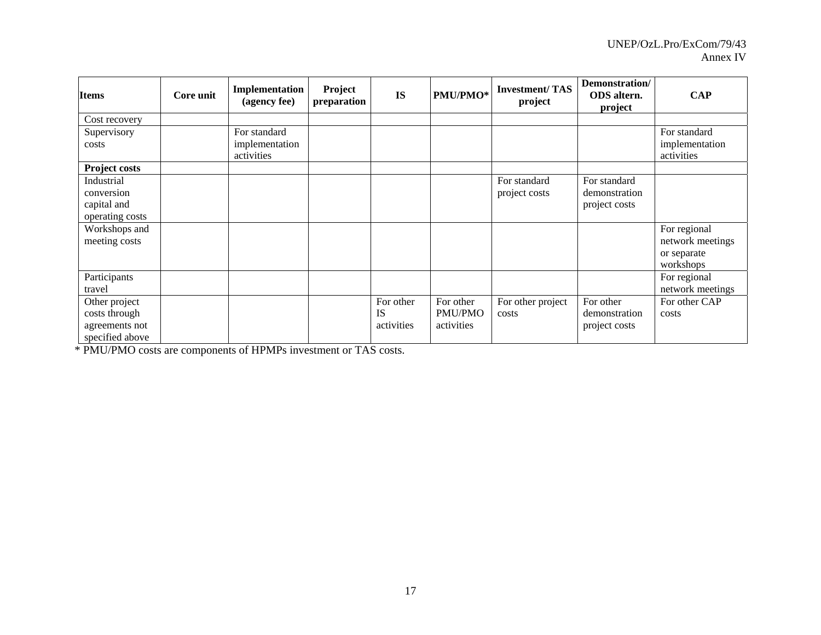| <b>Items</b>                                                        | Core unit | Implementation<br>(agency fee) | Project<br>preparation | <b>IS</b>                            | PMU/PMO*                                  | <b>Investment/TAS</b><br>project | Demonstration/<br><b>ODS</b> altern.<br>project | <b>CAP</b>                                                   |
|---------------------------------------------------------------------|-----------|--------------------------------|------------------------|--------------------------------------|-------------------------------------------|----------------------------------|-------------------------------------------------|--------------------------------------------------------------|
| Cost recovery                                                       |           |                                |                        |                                      |                                           |                                  |                                                 |                                                              |
| Supervisory                                                         |           | For standard                   |                        |                                      |                                           |                                  |                                                 | For standard                                                 |
| costs                                                               |           | implementation<br>activities   |                        |                                      |                                           |                                  |                                                 | implementation<br>activities                                 |
| <b>Project costs</b>                                                |           |                                |                        |                                      |                                           |                                  |                                                 |                                                              |
| Industrial<br>conversion<br>capital and<br>operating costs          |           |                                |                        |                                      |                                           | For standard<br>project costs    | For standard<br>demonstration<br>project costs  |                                                              |
| Workshops and<br>meeting costs                                      |           |                                |                        |                                      |                                           |                                  |                                                 | For regional<br>network meetings<br>or separate<br>workshops |
| Participants<br>travel                                              |           |                                |                        |                                      |                                           |                                  |                                                 | For regional<br>network meetings                             |
| Other project<br>costs through<br>agreements not<br>specified above |           |                                |                        | For other<br><b>IS</b><br>activities | For other<br><b>PMU/PMO</b><br>activities | For other project<br>costs       | For other<br>demonstration<br>project costs     | For other CAP<br>costs                                       |

\* PMU/PMO costs are components of HPMPs investment or TAS costs.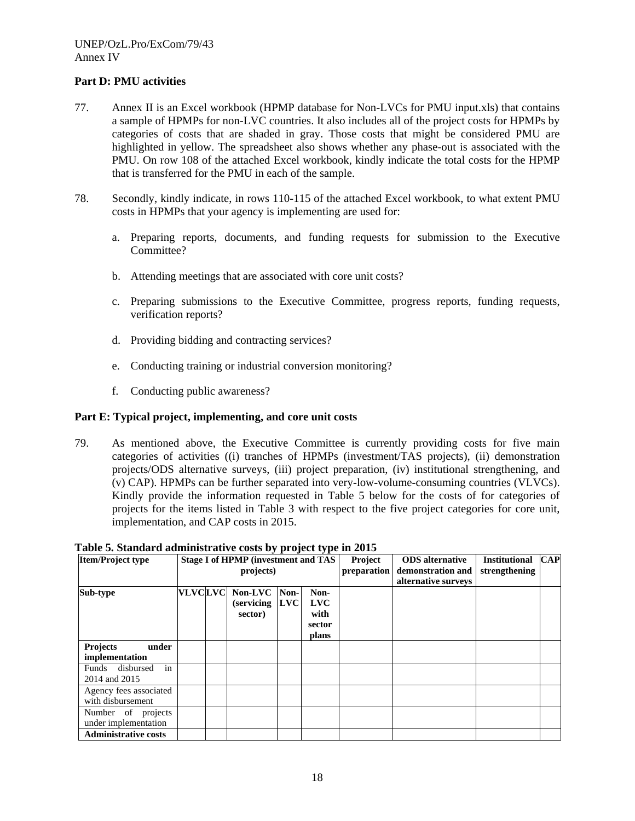## **Part D: PMU activities**

- 77. Annex II is an Excel workbook (HPMP database for Non-LVCs for PMU input.xls) that contains a sample of HPMPs for non-LVC countries. It also includes all of the project costs for HPMPs by categories of costs that are shaded in gray. Those costs that might be considered PMU are highlighted in yellow. The spreadsheet also shows whether any phase-out is associated with the PMU. On row 108 of the attached Excel workbook, kindly indicate the total costs for the HPMP that is transferred for the PMU in each of the sample.
- 78. Secondly, kindly indicate, in rows 110-115 of the attached Excel workbook, to what extent PMU costs in HPMPs that your agency is implementing are used for:
	- a. Preparing reports, documents, and funding requests for submission to the Executive Committee?
	- b. Attending meetings that are associated with core unit costs?
	- c. Preparing submissions to the Executive Committee, progress reports, funding requests, verification reports?
	- d. Providing bidding and contracting services?
	- e. Conducting training or industrial conversion monitoring?
	- f. Conducting public awareness?

## **Part E: Typical project, implementing, and core unit costs**

79. As mentioned above, the Executive Committee is currently providing costs for five main categories of activities ((i) tranches of HPMPs (investment/TAS projects), (ii) demonstration projects/ODS alternative surveys, (iii) project preparation, (iv) institutional strengthening, and (v) CAP). HPMPs can be further separated into very-low-volume-consuming countries (VLVCs). Kindly provide the information requested in Table 5 below for the costs of for categories of projects for the items listed in Table 3 with respect to the five project categories for core unit, implementation, and CAP costs in 2015.

**Project** 

| <b>Item/Project type</b>    |                | <b>Stage I of HPMP (investment and TAS)</b> |      |            | <b>Project</b> | <b>ODS</b> alternative | <b>Institutional</b> | $\bf CAP$ |
|-----------------------------|----------------|---------------------------------------------|------|------------|----------------|------------------------|----------------------|-----------|
|                             |                | projects)                                   |      |            | preparation    | demonstration and      | strengthening        |           |
|                             |                |                                             |      |            |                | alternative surveys    |                      |           |
| Sub-type                    | <b>VLVCLVC</b> | Non-LVC                                     | Non- | Non-       |                |                        |                      |           |
|                             |                | (servicing)                                 | LVC  | <b>LVC</b> |                |                        |                      |           |
|                             |                | sector)                                     |      | with       |                |                        |                      |           |
|                             |                |                                             |      | sector     |                |                        |                      |           |
|                             |                |                                             |      | plans      |                |                        |                      |           |
| <b>Projects</b><br>under    |                |                                             |      |            |                |                        |                      |           |
| implementation              |                |                                             |      |            |                |                        |                      |           |
| in<br>Funds disbursed       |                |                                             |      |            |                |                        |                      |           |
| 2014 and 2015               |                |                                             |      |            |                |                        |                      |           |
| Agency fees associated      |                |                                             |      |            |                |                        |                      |           |
| with disbursement           |                |                                             |      |            |                |                        |                      |           |
| Number of projects          |                |                                             |      |            |                |                        |                      |           |
| under implementation        |                |                                             |      |            |                |                        |                      |           |
| <b>Administrative costs</b> |                |                                             |      |            |                |                        |                      |           |

#### **Table 5. Standard administrative costs by project type in 2015 Item/Project type Stage I of HPMP (investment and TAS**